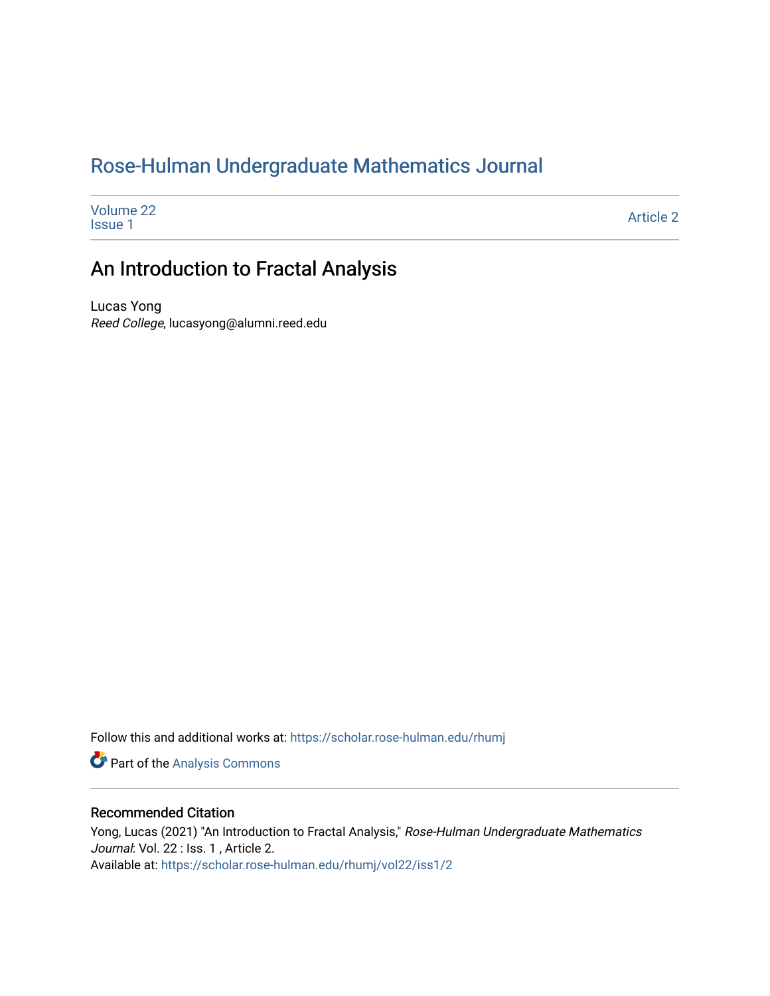# [Rose-Hulman Undergraduate Mathematics Journal](https://scholar.rose-hulman.edu/rhumj)

| Volume 22<br><b>Issue 1</b> | <b>Article 2</b> |
|-----------------------------|------------------|
|-----------------------------|------------------|

# An Introduction to Fractal Analysis

Lucas Yong Reed College, lucasyong@alumni.reed.edu

Follow this and additional works at: [https://scholar.rose-hulman.edu/rhumj](https://scholar.rose-hulman.edu/rhumj?utm_source=scholar.rose-hulman.edu%2Frhumj%2Fvol22%2Fiss1%2F2&utm_medium=PDF&utm_campaign=PDFCoverPages)

Part of the [Analysis Commons](http://network.bepress.com/hgg/discipline/177?utm_source=scholar.rose-hulman.edu%2Frhumj%2Fvol22%2Fiss1%2F2&utm_medium=PDF&utm_campaign=PDFCoverPages)

#### Recommended Citation

Yong, Lucas (2021) "An Introduction to Fractal Analysis," Rose-Hulman Undergraduate Mathematics Journal: Vol. 22 : Iss. 1, Article 2. Available at: [https://scholar.rose-hulman.edu/rhumj/vol22/iss1/2](https://scholar.rose-hulman.edu/rhumj/vol22/iss1/2?utm_source=scholar.rose-hulman.edu%2Frhumj%2Fvol22%2Fiss1%2F2&utm_medium=PDF&utm_campaign=PDFCoverPages)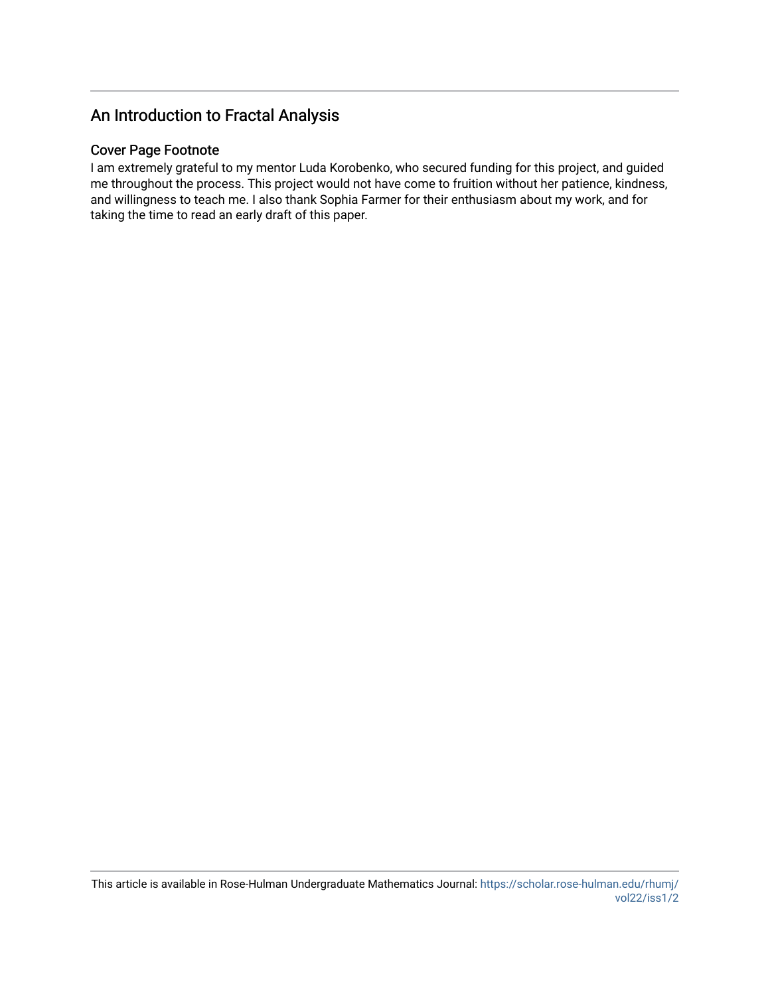## An Introduction to Fractal Analysis

#### Cover Page Footnote

I am extremely grateful to my mentor Luda Korobenko, who secured funding for this project, and guided me throughout the process. This project would not have come to fruition without her patience, kindness, and willingness to teach me. I also thank Sophia Farmer for their enthusiasm about my work, and for taking the time to read an early draft of this paper.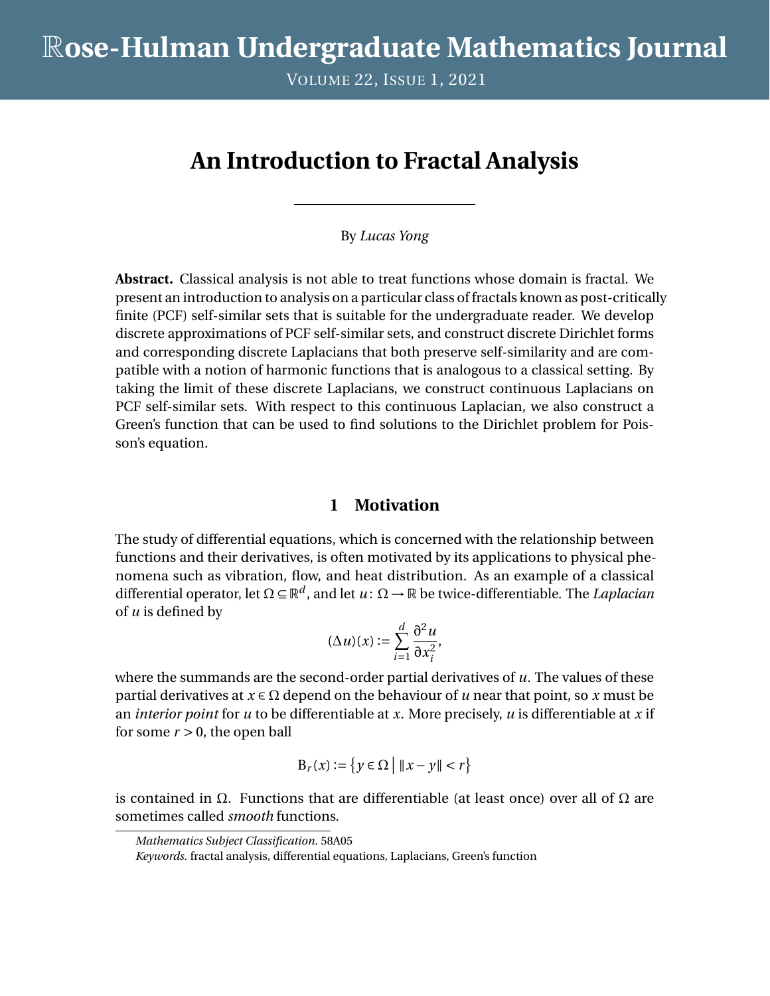VOLUME 22, ISSUE 1, 2021

# **An Introduction to Fractal Analysis**

By *Lucas Yong*

**Abstract.** Classical analysis is not able to treat functions whose domain is fractal. We present an introduction to analysis on a particular class of fractals known as post-critically finite (PCF) self-similar sets that is suitable for the undergraduate reader. We develop discrete approximations of PCF self-similar sets, and construct discrete Dirichlet forms and corresponding discrete Laplacians that both preserve self-similarity and are compatible with a notion of harmonic functions that is analogous to a classical setting. By taking the limit of these discrete Laplacians, we construct continuous Laplacians on PCF self-similar sets. With respect to this continuous Laplacian, we also construct a Green's function that can be used to find solutions to the Dirichlet problem for Poisson's equation.

#### **1 Motivation**

The study of differential equations, which is concerned with the relationship between functions and their derivatives, is often motivated by its applications to physical phenomena such as vibration, flow, and heat distribution. As an example of a classical differential operator, let Ω ⊆ R *d* , and let *u* : Ω → R be twice-differentiable. The *Laplacian* of *u* is defined by

$$
(\Delta u)(x) := \sum_{i=1}^d \frac{\partial^2 u}{\partial x_i^2},
$$

where the summands are the second-order partial derivatives of *u*. The values of these partial derivatives at  $x \in \Omega$  depend on the behaviour of *u* near that point, so *x* must be an *interior point* for *u* to be differentiable at *x*. More precisely, *u* is differentiable at *x* if for some  $r > 0$ , the open ball

$$
\mathcal{B}_r(x) := \{ y \in \Omega \mid ||x - y|| < r \}
$$

is contained in Ω. Functions that are differentiable (at least once) over all of  $Ω$  are sometimes called *smooth* functions.

*Mathematics Subject Classification.* 58A05

*Keywords.* fractal analysis, differential equations, Laplacians, Green's function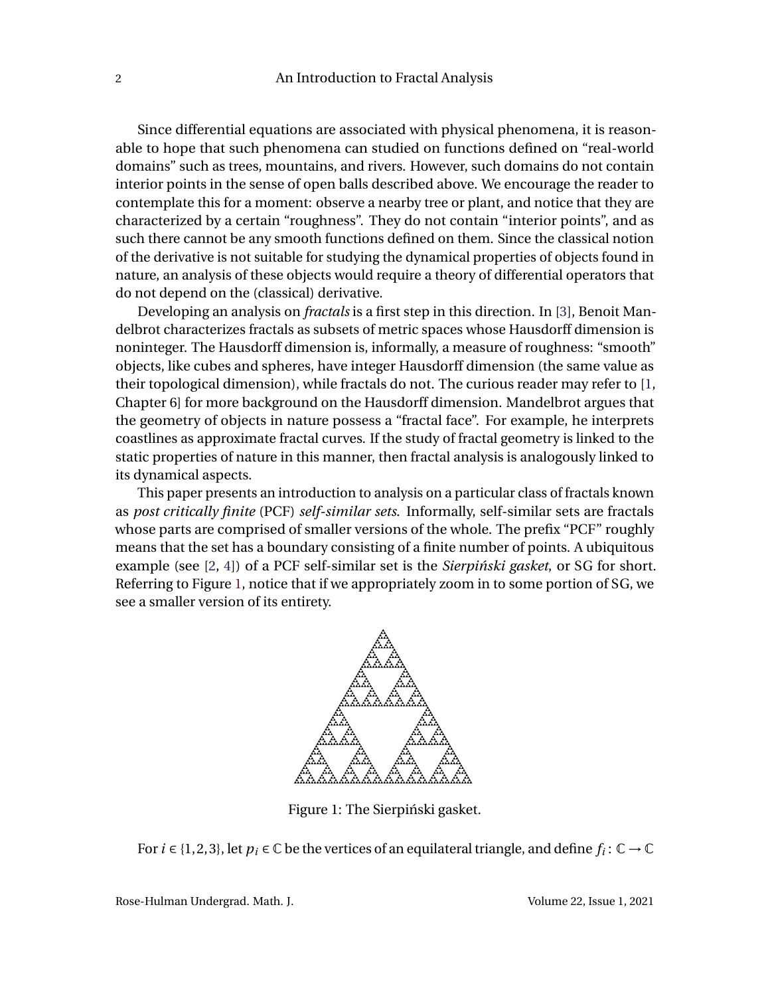Since differential equations are associated with physical phenomena, it is reasonable to hope that such phenomena can studied on functions defined on "real-world domains" such as trees, mountains, and rivers. However, such domains do not contain interior points in the sense of open balls described above. We encourage the reader to contemplate this for a moment: observe a nearby tree or plant, and notice that they are characterized by a certain "roughness". They do not contain "interior points", and as such there cannot be any smooth functions defined on them. Since the classical notion of the derivative is not suitable for studying the dynamical properties of objects found in nature, an analysis of these objects would require a theory of differential operators that do not depend on the (classical) derivative.

Developing an analysis on *fractals* is a first step in this direction. In [\[3\]](#page-28-0), Benoit Mandelbrot characterizes fractals as subsets of metric spaces whose Hausdorff dimension is noninteger. The Hausdorff dimension is, informally, a measure of roughness: "smooth" objects, like cubes and spheres, have integer Hausdorff dimension (the same value as their topological dimension), while fractals do not. The curious reader may refer to [\[1,](#page-28-1) Chapter 6] for more background on the Hausdorff dimension. Mandelbrot argues that the geometry of objects in nature possess a "fractal face". For example, he interprets coastlines as approximate fractal curves. If the study of fractal geometry is linked to the static properties of nature in this manner, then fractal analysis is analogously linked to its dynamical aspects.

This paper presents an introduction to analysis on a particular class of fractals known as *post critically finite* (PCF) *self-similar sets*. Informally, self-similar sets are fractals whose parts are comprised of smaller versions of the whole. The prefix "PCF" roughly means that the set has a boundary consisting of a finite number of points. A ubiquitous example (see [\[2,](#page-28-2) [4\]](#page-28-3)) of a PCF self-similar set is the *Sierpiński gasket*, or SG for short. Referring to Figure [1,](#page-3-0) notice that if we appropriately zoom in to some portion of SG, we see a smaller version of its entirety.

<span id="page-3-0"></span>

Figure 1: The Sierpiński gasket.

For  $i \in \{1,2,3\}$ , let  $p_i \in \mathbb{C}$  be the vertices of an equilateral triangle, and define  $f_i: \mathbb{C} \to \mathbb{C}$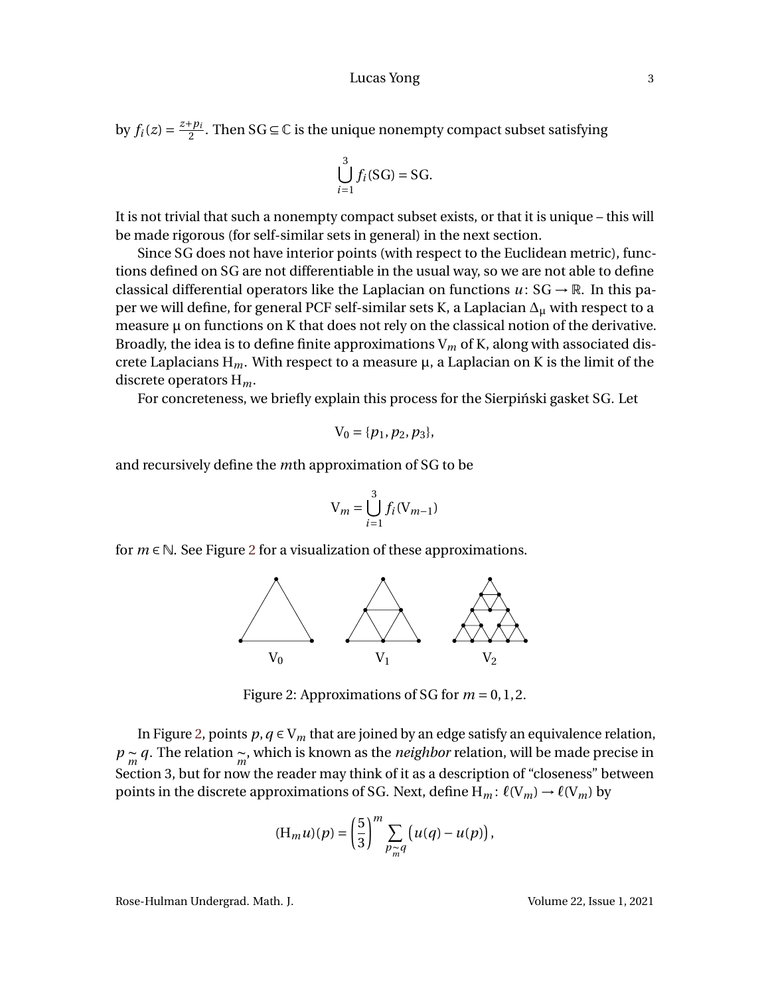by  $f_i(z) = \frac{z + p_i}{2}$  $\frac{p_i}{2}$ . Then SG  $\subseteq$  C is the unique nonempty compact subset satisfying

$$
\bigcup_{i=1}^3 f_i(SG) = SG.
$$

It is not trivial that such a nonempty compact subset exists, or that it is unique – this will be made rigorous (for self-similar sets in general) in the next section.

Since SG does not have interior points (with respect to the Euclidean metric), functions defined on SG are not differentiable in the usual way, so we are not able to define classical differential operators like the Laplacian on functions  $u: SG \rightarrow \mathbb{R}$ . In this paper we will define, for general PCF self-similar sets K, a Laplacian  $\Delta_{\mathfrak{u}}$  with respect to a measure  $\mu$  on functions on K that does not rely on the classical notion of the derivative. Broadly, the idea is to define finite approximations V*<sup>m</sup>* of K, along with associated discrete Laplacians  $H_m$ . With respect to a measure  $\mu$ , a Laplacian on K is the limit of the discrete operators H*m*.

For concreteness, we briefly explain this process for the Sierpiński gasket SG. Let

$$
V_0 = \{p_1, p_2, p_3\},\,
$$

and recursively define the *m*th approximation of SG to be

$$
V_m = \bigcup_{i=1}^{3} f_i(V_{m-1})
$$

for  $m \in \mathbb{N}$ . See Figure [2](#page-4-0) for a visualization of these approximations.



Figure 2: Approximations of SG for  $m = 0, 1, 2$ .

In Figure [2,](#page-4-0) points  $p, q \in V_m$  that are joined by an edge satisfy an equivalence relation, *p* ∼ *q*. The relation ∼, which is known as the *neighbor* relation, will be made precise in Section 3, but for now the reader may think of it as a description of "closeness" between points in the discrete approximations of SG. Next, define  $H_m: \ell(V_m) \to \ell(V_m)$  by

$$
(\mathrm{H}_m u)(p) = \left(\frac{5}{3}\right)^m \sum_{p_{\widetilde{m}}q} \left(u(q) - u(p)\right),
$$

<span id="page-4-0"></span>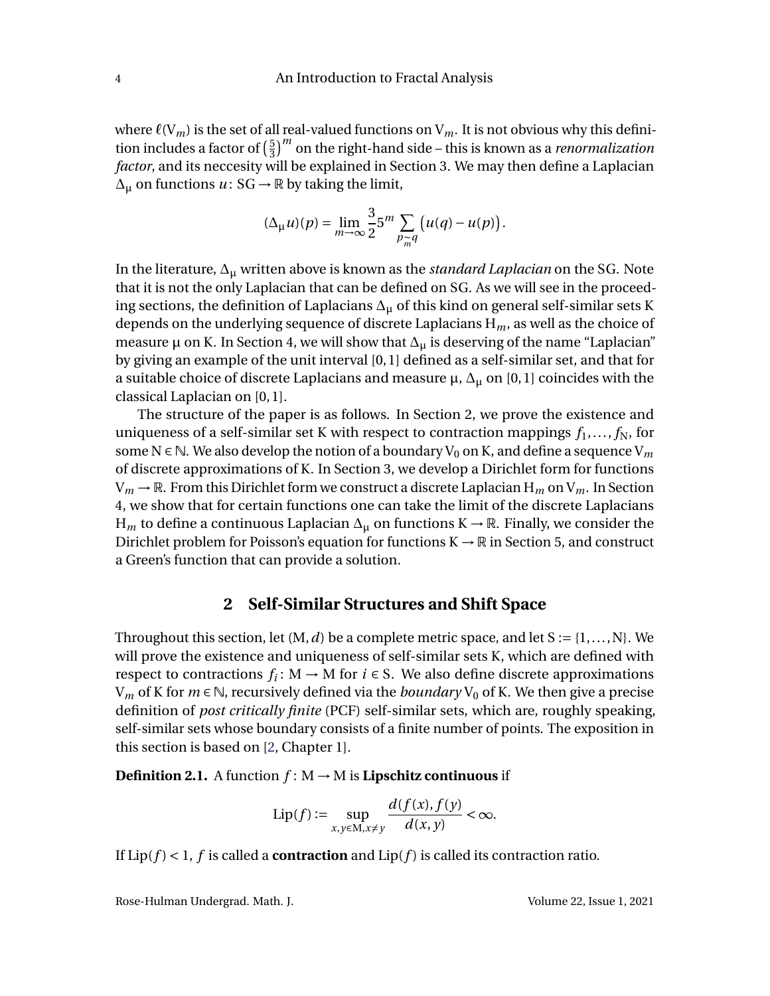where  $\ell(V_m)$  is the set of all real-valued functions on  $V_m$ . It is not obvious why this definition includes a factor of  $(\frac{5}{3})$ 3 ¢*m* on the right-hand side – this is known as a *renormalization factor*, and its neccesity will be explained in Section 3. We may then define a Laplacian  $\Delta$ <sub>µ</sub> on functions *u* : SG → ℝ by taking the limit,

$$
(\Delta_{\mu} u)(p) = \lim_{m \to \infty} \frac{3}{2} 5^m \sum_{p \underset{m}{\sim} q} \big( u(q) - u(p) \big).
$$

In the literature, ∆<sup>µ</sup> written above is known as the *standard Laplacian* on the SG. Note that it is not the only Laplacian that can be defined on SG. As we will see in the proceeding sections, the definition of Laplacians  $\Delta_{\text{u}}$  of this kind on general self-similar sets K depends on the underlying sequence of discrete Laplacians H*m*, as well as the choice of measure  $\mu$  on K. In Section 4, we will show that  $\Delta_{\mu}$  is deserving of the name "Laplacian" by giving an example of the unit interval [0,1] defined as a self-similar set, and that for a suitable choice of discrete Laplacians and measure  $\mu$ ,  $\Delta_{\mu}$  on [0,1] coincides with the classical Laplacian on [0, 1].

The structure of the paper is as follows. In Section 2, we prove the existence and uniqueness of a self-similar set K with respect to contraction mappings  $f_1, \ldots, f_N$ , for some N  $\in$  N. We also develop the notion of a boundary V<sub>0</sub> on K, and define a sequence V<sub>m</sub> of discrete approximations of K. In Section 3, we develop a Dirichlet form for functions  $V_m \rightarrow \mathbb{R}$ . From this Dirichlet form we construct a discrete Laplacian H<sub>m</sub> on V<sub>m</sub>. In Section 4, we show that for certain functions one can take the limit of the discrete Laplacians H<sub>m</sub> to define a continuous Laplacian  $\Delta_{\mu}$  on functions K → R. Finally, we consider the Dirichlet problem for Poisson's equation for functions  $K \to \mathbb{R}$  in Section 5, and construct a Green's function that can provide a solution.

#### **2 Self-Similar Structures and Shift Space**

Throughout this section, let  $(M, d)$  be a complete metric space, and let  $S := \{1, \ldots, N\}$ . We will prove the existence and uniqueness of self-similar sets K, which are defined with respect to contractions  $f_i: M \to M$  for  $i \in S$ . We also define discrete approximations  $V_m$  of K for  $m \in \mathbb{N}$ , recursively defined via the *boundary*  $V_0$  of K. We then give a precise definition of *post critically finite* (PCF) self-similar sets, which are, roughly speaking, self-similar sets whose boundary consists of a finite number of points. The exposition in this section is based on [\[2,](#page-28-2) Chapter 1].

**Definition 2.1.** A function  $f : M \to M$  is **Lipschitz continuous** if

$$
\operatorname{Lip}(f) := \sup_{x, y \in M, x \neq y} \frac{d(f(x), f(y))}{d(x, y)} < \infty.
$$

If  $Lip(f) < 1$ , *f* is called a **contraction** and  $Lip(f)$  is called its contraction ratio.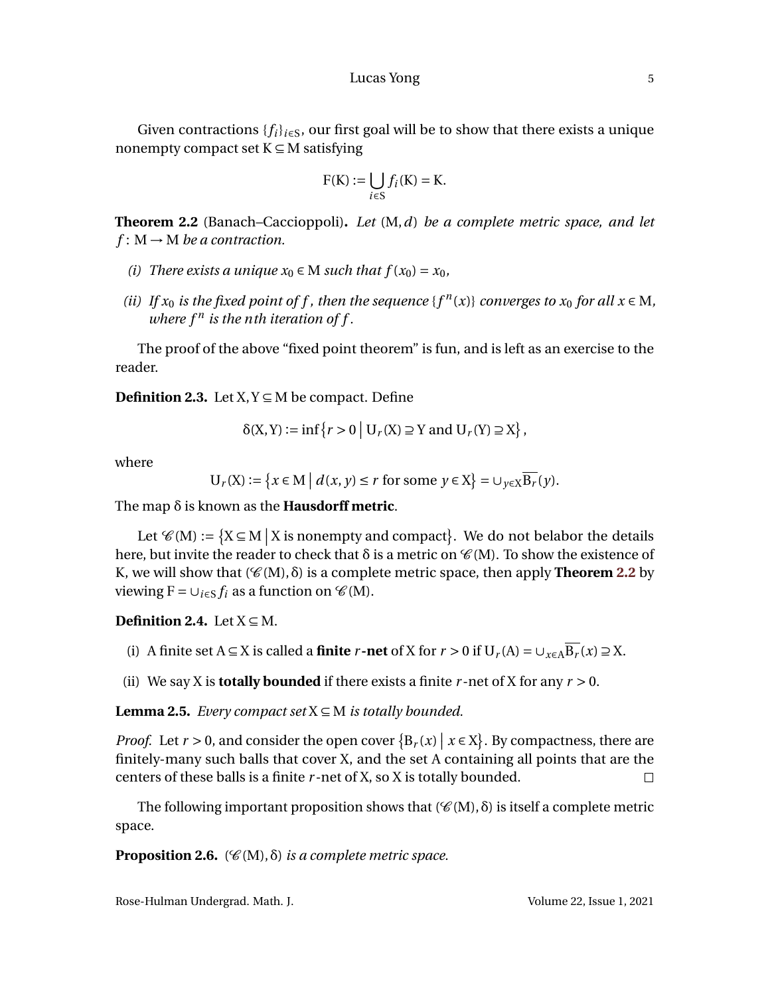Given contractions  $\{f_i\}_{i\in S}$ , our first goal will be to show that there exists a unique nonempty compact set  $K \subseteq M$  satisfying

$$
F(K) := \bigcup_{i \in S} f_i(K) = K.
$$

<span id="page-6-0"></span>**Theorem 2.2** (Banach–Caccioppoli)**.** *Let* (M,*d*) *be a complete metric space, and let*  $f: M \rightarrow M$  *be a contraction.* 

- *(i) There exists a unique*  $x_0 \in M$  *such that*  $f(x_0) = x_0$ *,*
- *(ii) If*  $x_0$  *is the fixed point of f, then the sequence*  $\{f^n(x)\}$  *converges to*  $x_0$  *for all*  $x \in M$ *, where*  $f^n$  *is the nth iteration of f.*

The proof of the above "fixed point theorem" is fun, and is left as an exercise to the reader.

**Definition 2.3.** Let  $X, Y \subseteq M$  be compact. Define

$$
\delta(X,Y) := \inf\left\{r > 0 \mid U_r(X) \supseteq Y \text{ and } U_r(Y) \supseteq X\right\},\
$$

where

$$
\mathcal{U}_r(\mathcal{X}) := \left\{ x \in \mathcal{M} \mid d(x, y) \le r \text{ for some } y \in \mathcal{X} \right\} = \cup_{y \in \mathcal{X}} \overline{\mathcal{B}_r}(y).
$$

The map δ is known as the **Hausdorff metric**.

Let  $\mathcal{C}(M) := \{ X \subseteq M \mid X \text{ is nonempty and compact} \}.$  We do not belabor the details here, but invite the reader to check that  $\delta$  is a metric on  $\mathcal{C}(M)$ . To show the existence of K, we will show that  $(\mathcal{C}(M), \delta)$  is a complete metric space, then apply **Theorem [2.2](#page-6-0)** by viewing  $F = \bigcup_{i \in S} f_i$  as a function on  $\mathcal{C}(M)$ .

**Definition 2.4.** Let  $X \subseteq M$ .

- (i) A finite set  $A \subseteq X$  is called a **finite** *r* **-net** of X for  $r > 0$  if  $U_r(A) = \bigcup_{x \in A} \overline{B_r}(x) \supseteq X$ .
- (ii) We say X is **totally bounded** if there exists a finite  $r$ -net of X for any  $r > 0$ .

<span id="page-6-1"></span>**Lemma 2.5.** *Every compact set*  $X \subseteq M$  *is totally bounded.* 

*Proof.* Let  $r > 0$ , and consider the open cover  $\{B_r(x) \mid x \in X\}$ . By compactness, there are finitely-many such balls that cover X, and the set A containing all points that are the centers of these balls is a finite *r* -net of X, so X is totally bounded.  $\Box$ 

The following important proposition shows that ( $\mathcal{C}(M)$ ,  $\delta$ ) is itself a complete metric space.

<span id="page-6-2"></span>**Proposition 2.6.** ( $\mathcal{C}(M)$ ,  $\delta$ ) *is a complete metric space.*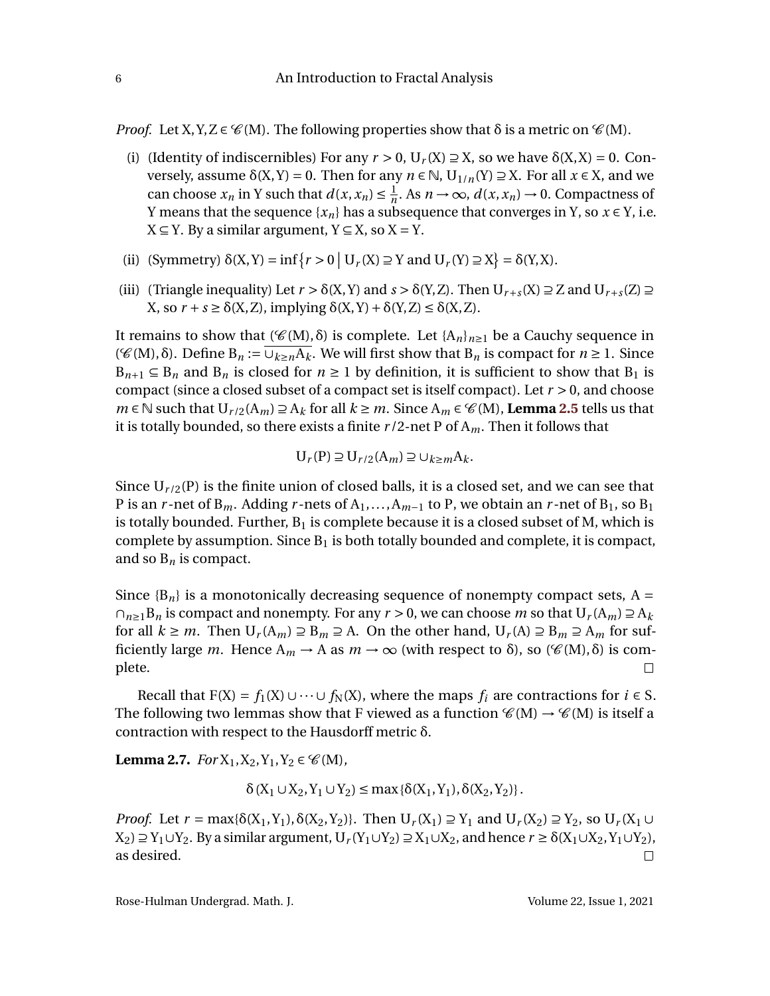*Proof.* Let X, Y, Z  $\in \mathcal{C}(M)$ . The following properties show that  $\delta$  is a metric on  $\mathcal{C}(M)$ .

- (i) (Identity of indiscernibles) For any  $r > 0$ ,  $U_r(X) \supseteq X$ , so we have  $\delta(X, X) = 0$ . Conversely, assume  $\delta(X, Y) = 0$ . Then for any  $n \in \mathbb{N}$ ,  $U_{1/n}(Y) \supseteq X$ . For all  $x \in X$ , and we can choose  $x_n$  in Y such that  $d(x, x_n) \leq \frac{1}{n}$  $\frac{1}{n}$ . As  $n \to \infty$ ,  $d(x, x_n) \to 0$ . Compactness of Y means that the sequence  $\{x_n\}$  has a subsequence that converges in Y, so  $x \in Y$ , i.e.  $X \subseteq Y$ . By a similar argument,  $Y \subseteq X$ , so  $X = Y$ .
- (ii) (Symmetry)  $\delta(X, Y) = \inf\{r > 0 \mid U_r(X) \supseteq Y \text{ and } U_r(Y) \supseteq X\} = \delta(Y, X).$
- (iii) (Triangle inequality) Let  $r > \delta(X, Y)$  and  $s > \delta(Y, Z)$ . Then  $U_{r+s}(X) \supseteq Z$  and  $U_{r+s}(Z) \supseteq Z$  $X$ , so  $r + s \ge \delta(X, Z)$ , implying  $\delta(X, Y) + \delta(Y, Z) \le \delta(X, Z)$ .

It remains to show that ( $\mathcal{C}(M)$ ,  $\delta$ ) is complete. Let  $\{A_n\}_{n\geq 1}$  be a Cauchy sequence in (*C*(M), δ). Define B<sub>*n*</sub> :=  $\overline{\cup_{k \geq n} A_k}$ . We will first show that B<sub>*n*</sub> is compact for *n* ≥ 1. Since  $B_{n+1} \subseteq B_n$  and  $B_n$  is closed for  $n \ge 1$  by definition, it is sufficient to show that  $B_1$  is compact (since a closed subset of a compact set is itself compact). Let *r* > 0, and choose *m* ∈ N such that  $U_{r/2}(A_m) \supseteq A_k$  for all  $k \ge m$ . Since  $A_m \in \mathcal{C}(M)$ , **Lemma [2.5](#page-6-1)** tells us that it is totally bounded, so there exists a finite *r* /2-net P of A*m*. Then it follows that

$$
U_r(P) \supseteq U_{r/2}(A_m) \supseteq \cup_{k \ge m} A_k.
$$

Since  $U_{r/2}(P)$  is the finite union of closed balls, it is a closed set, and we can see that P is an *r*-net of B<sub>m</sub>. Adding *r*-nets of A<sub>1</sub>,..., A<sub>m−1</sub> to P, we obtain an *r*-net of B<sub>1</sub>, so B<sub>1</sub> is totally bounded. Further,  $B_1$  is complete because it is a closed subset of M, which is complete by assumption. Since  $B_1$  is both totally bounded and complete, it is compact, and so  $B_n$  is compact.

Since  ${B_n}$  is a monotonically decreasing sequence of nonempty compact sets,  $A =$  $∩_{n\geq 1}B_n$  is compact and nonempty. For any *r* > 0, we can choose *m* so that  $U_r(A_m) \supseteq A_k$ for all  $k \ge m$ . Then  $U_r(A_m) \supseteq B_m \supseteq A$ . On the other hand,  $U_r(A) \supseteq B_m \supseteq A_m$  for sufficiently large *m*. Hence  $A_m \to A$  as  $m \to \infty$  (with respect to  $\delta$ ), so ( $\mathcal{C}(M)$ ,  $\delta$ ) is complete.  $\Box$ 

Recall that  $F(X) = f_1(X) \cup \cdots \cup f_N(X)$ , where the maps  $f_i$  are contractions for  $i \in S$ . The following two lemmas show that F viewed as a function  $\mathcal{C}(M) \to \mathcal{C}(M)$  is itself a contraction with respect to the Hausdorff metric δ.

<span id="page-7-0"></span>**Lemma 2.7.** *For*  $X_1, X_2, Y_1, Y_2 \in \mathcal{C}(M)$ ,

 $\delta(X_1 \cup X_2, Y_1 \cup Y_2) \le \max{\delta(X_1, Y_1), \delta(X_2, Y_2)}$ .

<span id="page-7-1"></span>*Proof.* Let  $r = \max{\{\delta(X_1, Y_1), \delta(X_2, Y_2)\}}$ . Then  $U_r(X_1) \supseteq Y_1$  and  $U_r(X_2) \supseteq Y_2$ , so  $U_r(X_1 \cup Y_2)$  $X_2$ ) ⊇ Y<sub>1</sub>∪Y<sub>2</sub>. By a similar argument,  $U_r(Y_1 \cup Y_2)$  ⊇  $X_1 \cup X_2$ , and hence  $r \ge \delta(X_1 \cup X_2, Y_1 \cup Y_2)$ , as desired.  $\Box$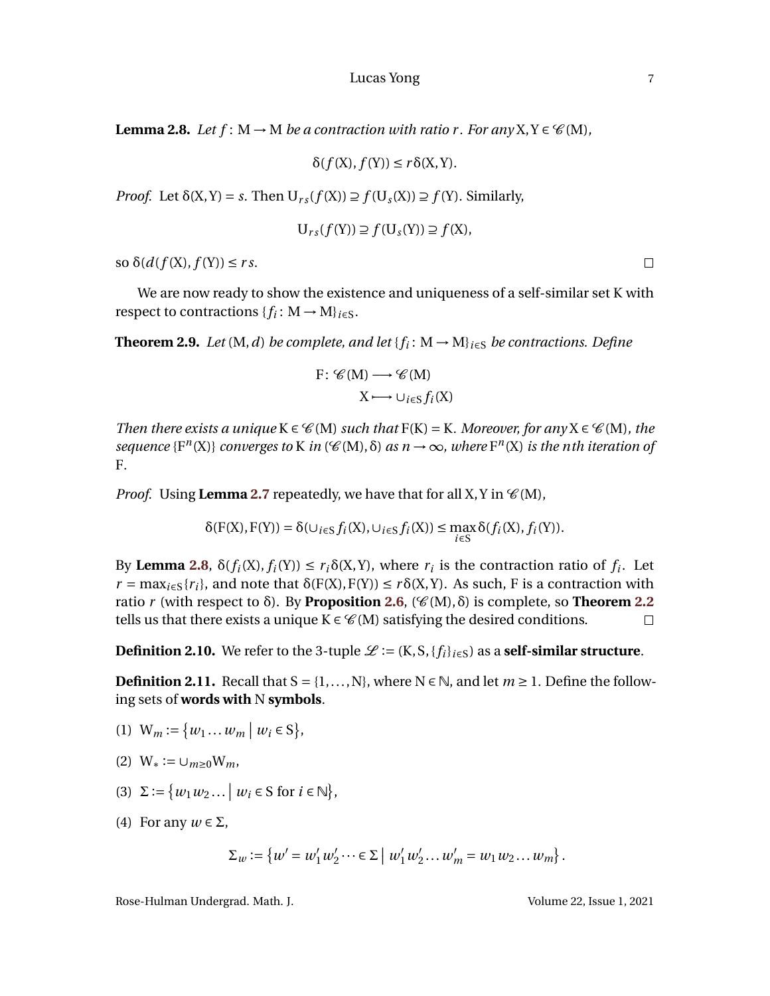**Lemma 2.8.** *Let*  $f: M \to M$  *be a contraction with ratio r. For any*  $X, Y \in \mathcal{C}(M)$ *,* 

$$
\delta(f(X), f(Y)) \le r \delta(X, Y).
$$

*Proof.* Let  $\delta(X, Y) = s$ . Then  $U_{rs}(f(X)) \supseteq f(U_s(X)) \supseteq f(Y)$ . Similarly,

$$
U_{rs}(f(Y)) \supseteq f(U_s(Y)) \supseteq f(X),
$$

so  $\delta(d(f(X), f(Y)) \leq rs$ .

We are now ready to show the existence and uniqueness of a self-similar set K with respect to contractions  $\{f_i: M \to M\}_{i \in S}$ .

<span id="page-8-0"></span>**Theorem 2.9.** *Let* (M, *d*) *be complete, and let* { $f_i$ : M  $\rightarrow$  M} $_{i \in S}$  *be contractions. Define* 

$$
F: \mathcal{C}(M) \longrightarrow \mathcal{C}(M)
$$

$$
X \longrightarrow \cup_{i \in S} f_i(X)
$$

*Then there exists a unique*  $K \in \mathcal{C}(M)$  *such that*  $F(K) = K$ *. Moreover, for any*  $X \in \mathcal{C}(M)$ *, the*  $seq$ *uence* { $F<sup>n</sup>(X)$ } *converges to* K *in* ( $\mathcal{C}(M)$ ,  $\delta$ ) *as*  $n \to \infty$ *, where*  $F<sup>n</sup>(X)$  *is the nth iteration of* F*.*

*Proof.* Using **Lemma [2.7](#page-7-0)** repeatedly, we have that for all X, Y in  $\mathcal{C}(M)$ ,

$$
\delta(F(X), F(Y)) = \delta(\cup_{i \in S} f_i(X), \cup_{i \in S} f_i(X)) \le \max_{i \in S} \delta(f_i(X), f_i(Y)).
$$

By **Lemma [2.8](#page-7-1)**,  $\delta(f_i(X), f_i(Y)) \le r_i \delta(X, Y)$ , where  $r_i$  is the contraction ratio of  $f_i$ . Let  $r = \max_{i \in S} \{r_i\}$ , and note that  $\delta(F(X), F(Y)) \le r \delta(X, Y)$ . As such, F is a contraction with ratio *r* (with respect to  $\delta$ ). By **Proposition [2.6](#page-6-2)**, ( $\mathcal{C}(M)$ ,  $\delta$ ) is complete, so **Theorem [2.2](#page-6-0)** tells us that there exists a unique  $K \in \mathcal{C}(M)$  satisfying the desired conditions.  $\Box$ 

**Definition 2.10.** We refer to the 3-tuple  $\mathcal{L} := (K, S, \{f_i\}_{i \in S})$  as a **self-similar structure**.

**Definition 2.11.** Recall that  $S = \{1, ..., N\}$ , where  $N \in \mathbb{N}$ , and let  $m \ge 1$ . Define the following sets of **words with** N **symbols**.

(1)  $W_m := \{w_1 ... w_m | w_i \in S\},\$ 

$$
(2) W_* := \cup_{m\geq 0} W_m,
$$

- (3)  $\Sigma := \{w_1 w_2 ... \mid w_i \in S \text{ for } i \in \mathbb{N}\},\$
- (4) For any  $w \in \Sigma$ ,

$$
\Sigma_{w} := \{ w' = w'_{1} w'_{2} \cdots \in \Sigma \mid w'_{1} w'_{2} \ldots w'_{m} = w_{1} w_{2} \ldots w_{m} \}.
$$

Rose-Hulman Undergrad. Math. J. Volume 22, Issue 1, 2021

 $\Box$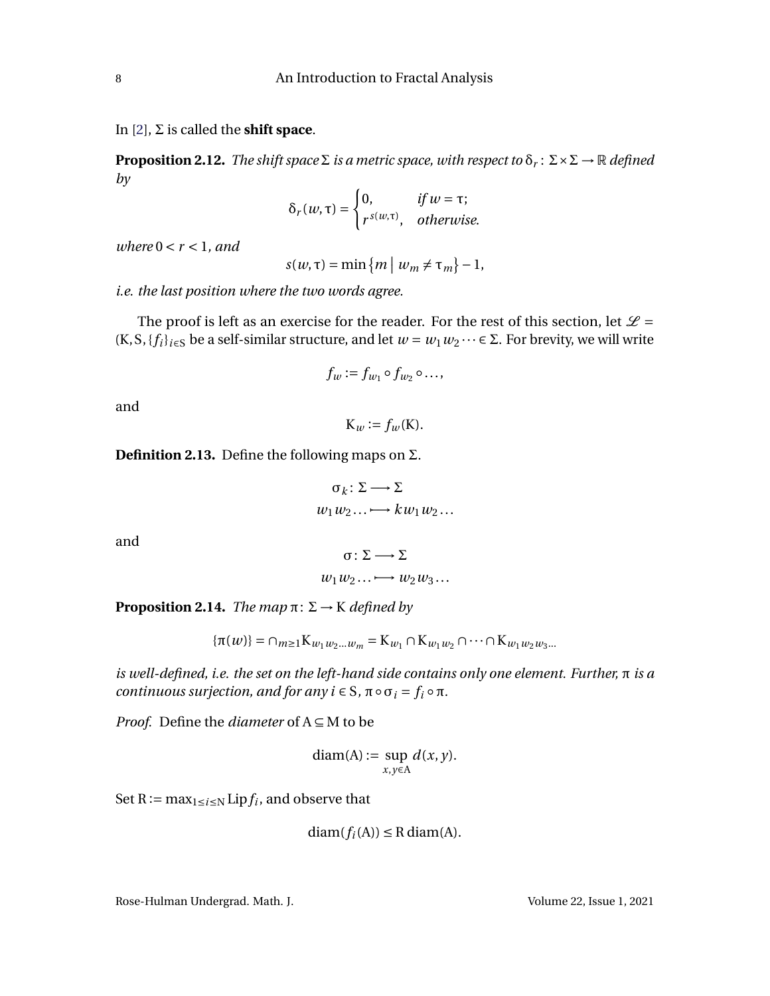In [\[2\]](#page-28-2), Σ is called the **shift space**.

<span id="page-9-0"></span>**Proposition 2.12.** *The shift space*  $\Sigma$  *is a metric space, with respect to*  $\delta_r$ :  $\Sigma \times \Sigma \to \mathbb{R}$  *defined by*

$$
\delta_r(w,\tau) = \begin{cases} 0, & \text{if } w = \tau; \\ r^{s(w,\tau)}, & \text{otherwise.} \end{cases}
$$

*where*  $0 < r < 1$ *, and* 

$$
s(w,\tau) = \min\left\{m \mid w_m \neq \tau_m\right\} - 1,
$$

*i.e. the last position where the two words agree.*

The proof is left as an exercise for the reader. For the rest of this section, let  $\mathcal{L} =$ (K, S, {*f<sub>i</sub>*}<sub>*i*∈S</sub> be a self-similar structure, and let *w* = *w*<sub>1</sub>*w*<sub>2</sub> · ⋅ ∈ Σ. For brevity, we will write

$$
f_w := f_{w_1} \circ f_{w_2} \circ \dots,
$$

and

 $K_w := f_w(K)$ .

<span id="page-9-2"></span>**Definition 2.13.** Define the following maps on Σ.

$$
\sigma_k \colon \Sigma \longrightarrow \Sigma
$$
  

$$
w_1 w_2 \dots \longrightarrow k w_1 w_2 \dots
$$

and

$$
w_1 w_2 \ldots \longrightarrow w_2 w_3 \ldots
$$

 $σ: Σ \longrightarrow Σ$ 

<span id="page-9-1"></span>**Proposition 2.14.** *The map*  $\pi$ :  $\Sigma \rightarrow K$  *defined by* 

$$
\{\pi(w)\} = \cap_{m \ge 1} K_{w_1 w_2 \dots w_m} = K_{w_1} \cap K_{w_1 w_2} \cap \dots \cap K_{w_1 w_2 w_3 \dots}
$$

*is well-defined, i.e. the set on the left-hand side contains only one element. Further,* π *is a continuous surjection, and for any i*  $\in$  *S*,  $\pi \circ \sigma_i = f_i \circ \pi$ *.* 

*Proof.* Define the *diameter* of A ⊆ M to be

$$
diam(A) := \sup_{x,y \in A} d(x,y).
$$

Set  $R := max_{1 \le i \le N} Lip f_i$ , and observe that

$$
diam(f_i(A)) \leq R diam(A).
$$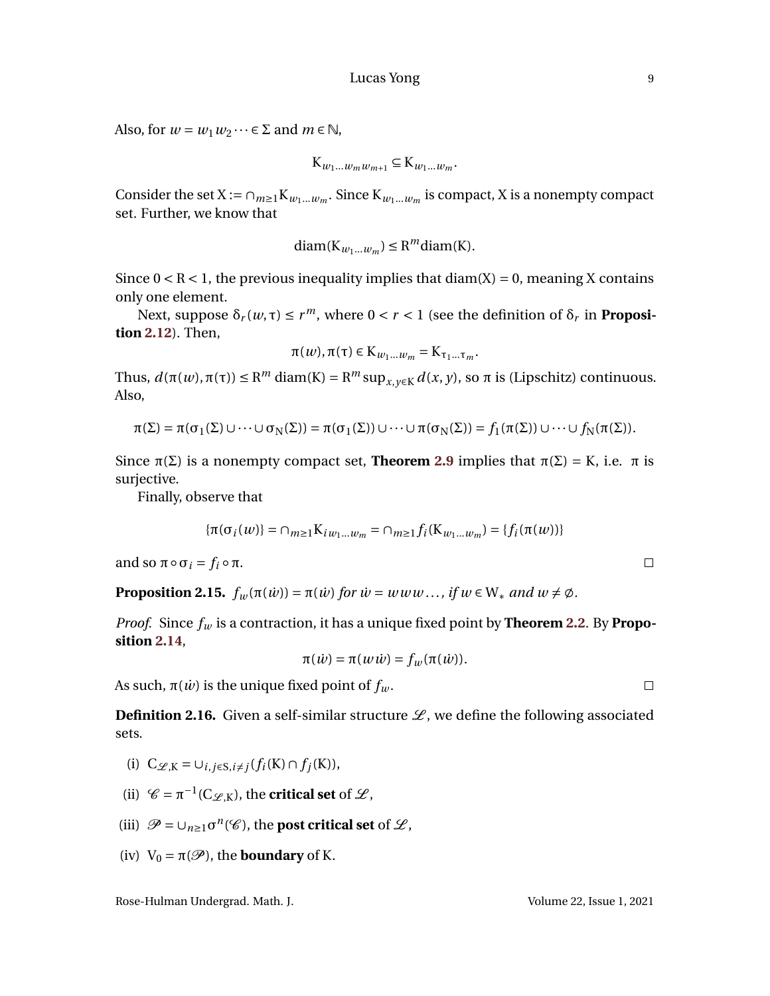Also, for  $w = w_1 w_2 \cdots \in \Sigma$  and  $m \in \mathbb{N}$ ,

$$
K_{w_1...w_m w_{m+1}} \subseteq K_{w_1...w_m}.
$$

Consider the set  $X := \bigcap_{m \geq 1} K_{w_1...w_m}$ . Since  $K_{w_1...w_m}$  is compact, X is a nonempty compact set. Further, we know that

$$
diam(K_{w_1\ldots w_m}) \le R^m diam(K).
$$

Since  $0 < R < 1$ , the previous inequality implies that  $diam(X) = 0$ , meaning X contains only one element.

Next, suppose  $\delta_r(w, \tau) \le r^m$ , where  $0 < r < 1$  (see the definition of  $\delta_r$  in **Proposition [2.12](#page-9-0)**). Then,

$$
\pi(w), \pi(\tau) \in K_{w_1...w_m} = K_{\tau_1...\tau_m}.
$$

Thus,  $d(\pi(w), \pi(\tau)) \le R^m$  diam(K) =  $R^m$  sup<sub>*x*,*y*∈K</sub>  $d(x, y)$ , so  $\pi$  is (Lipschitz) continuous. Also,

$$
\pi(\Sigma) = \pi(\sigma_1(\Sigma) \cup \cdots \cup \sigma_N(\Sigma)) = \pi(\sigma_1(\Sigma)) \cup \cdots \cup \pi(\sigma_N(\Sigma)) = f_1(\pi(\Sigma)) \cup \cdots \cup f_N(\pi(\Sigma)).
$$

Since  $\pi(\Sigma)$  is a nonempty compact set, **Theorem [2.9](#page-8-0)** implies that  $\pi(\Sigma) = K$ , i.e. π is surjective.

Finally, observe that

$$
\{\pi(\sigma_i(w))\} = \cap_{m \ge 1} K_{iw_1...w_m} = \cap_{m \ge 1} f_i(K_{w_1...w_m}) = \{f_i(\pi(w))\}
$$

and so  $\pi \circ \sigma_i = f_i \circ \pi$ .

<span id="page-10-0"></span>**Proposition 2.15.**  $f_w(\pi(w)) = \pi(w)$  *for*  $w = www...$ *, if*  $w \in W_*$  *and*  $w \neq \emptyset$ .

*Proof.* Since *f<sup>w</sup>* is a contraction, it has a unique fixed point by **Theorem [2.2](#page-6-0)**. By **Proposition [2.14](#page-9-1)**,

 $\pi(\dot{w}) = \pi(w\dot{w}) = f_w(\pi(\dot{w})).$ 

As such,  $\pi(\dot{w})$  is the unique fixed point of  $f_w$ .

**Definition 2.16.** Given a self-similar structure  $\mathcal{L}$ , we define the following associated sets.

- (i)  $C_{\mathscr{L},K} = \bigcup_{i,j \in S, i \neq j} (f_i(K) \cap f_j(K)),$
- (ii)  $\mathscr{C} = \pi^{-1}(C_{\mathscr{L},K})$ , the **critical set** of  $\mathscr{L}$ ,
- (iii)  $\mathscr{P} = \cup_{n \geq 1} \sigma^n(\mathscr{C})$ , the **post critical set** of  $\mathscr{L}$ ,
- (iv)  $V_0 = \pi(\mathcal{P})$ , the **boundary** of K.

Rose-Hulman Undergrad. Math. J. Volume 22, Issue 1, 2021

 $\Box$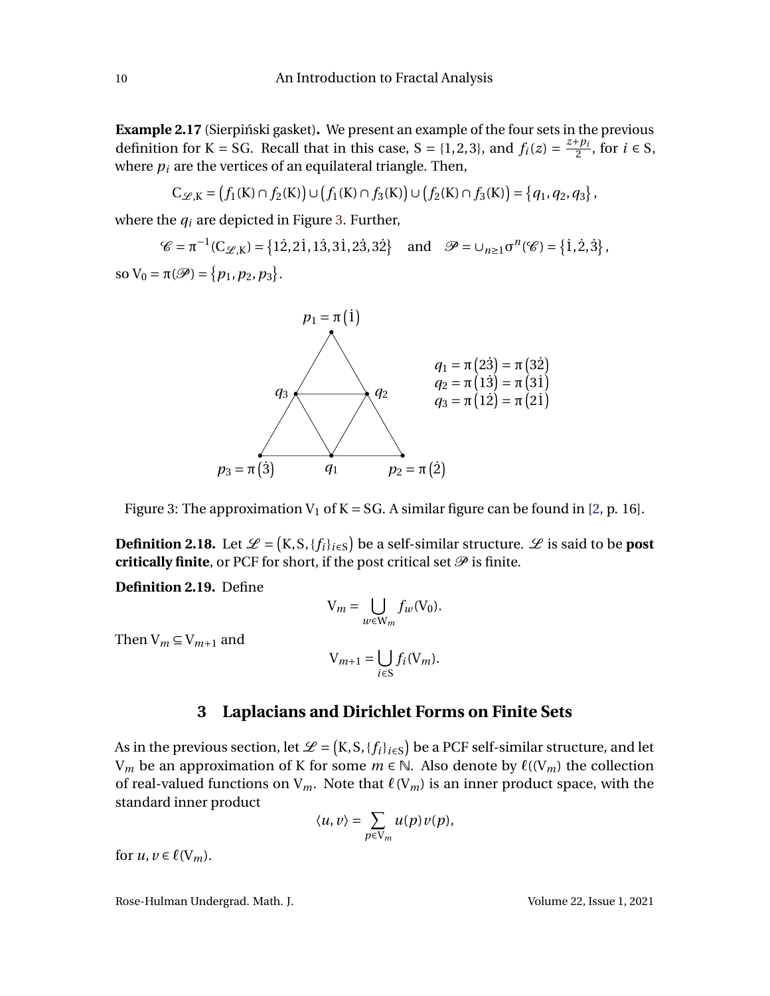**Example 2.17** (Sierpiński gasket). We present an example of the four sets in the previous definition for K = SG. Recall that in this case, S = {1,2,3}, and  $f_i(z) = \frac{z+p_i}{2}$  $\frac{p_i}{2}$ , for  $i \in S$ , where  $p_i$  are the vertices of an equilateral triangle. Then,

 $C_{\mathscr{L},K} = (f_1(K) \cap f_2(K)) \cup (f_1(K) \cap f_3(K)) \cup (f_2(K) \cap f_3(K)) = \{q_1, q_2, q_3\},\$ 

where the  $q_i$  are depicted in Figure [3.](#page-11-0) Further,

 $\mathscr{C} = \pi^{-1}(C_{\mathscr{L},K}) = \{12, 21, 13, 31, 23, 32\}$  and  $\mathscr{P} = \cup_{n \geq 1} \sigma^n(\mathscr{C}) = \{1, 2, 3\},\$ so  $V_0 = \pi(\mathscr{P}) = \{p_1, p_2, p_3\}.$ 



Figure 3: The approximation  $V_1$  of K = SG. A similar figure can be found in [\[2,](#page-28-2) p. 16].

**Definition 2.18.** Let  $\mathcal{L} = (K, S, \{f_i\}_{i \in S})$  be a self-similar structure.  $\mathcal{L}$  is said to be **post critically finite**, or PCF for short, if the post critical set  $\mathcal{P}$  is finite.

**Definition 2.19.** Define

<span id="page-11-0"></span>
$$
\mathsf{V}_m = \bigcup_{w \in \mathsf{W}_m} f_w(\mathsf{V}_0).
$$

Then  $V_m \subseteq V_{m+1}$  and

$$
V_{m+1} = \bigcup_{i \in S} f_i(V_m).
$$

### **3 Laplacians and Dirichlet Forms on Finite Sets**

As in the previous section, let  $\mathscr{L} = \left( K, S, \{f_i\}_{i \in S} \right)$  be a PCF self-similar structure, and let *V*<sup>*m*</sup> be an approximation of *K* for some *m* ∈  $\mathbb{N}$ . Also denote by  $\ell((V_m)$  the collection of real-valued functions on  $V_m$ . Note that  $\ell(V_m)$  is an inner product space, with the standard inner product

$$
\langle u,v\rangle=\sum_{p\in V_m}u(p)v(p),
$$

for  $u, v \in \ell(\mathrm{V}_m)$ .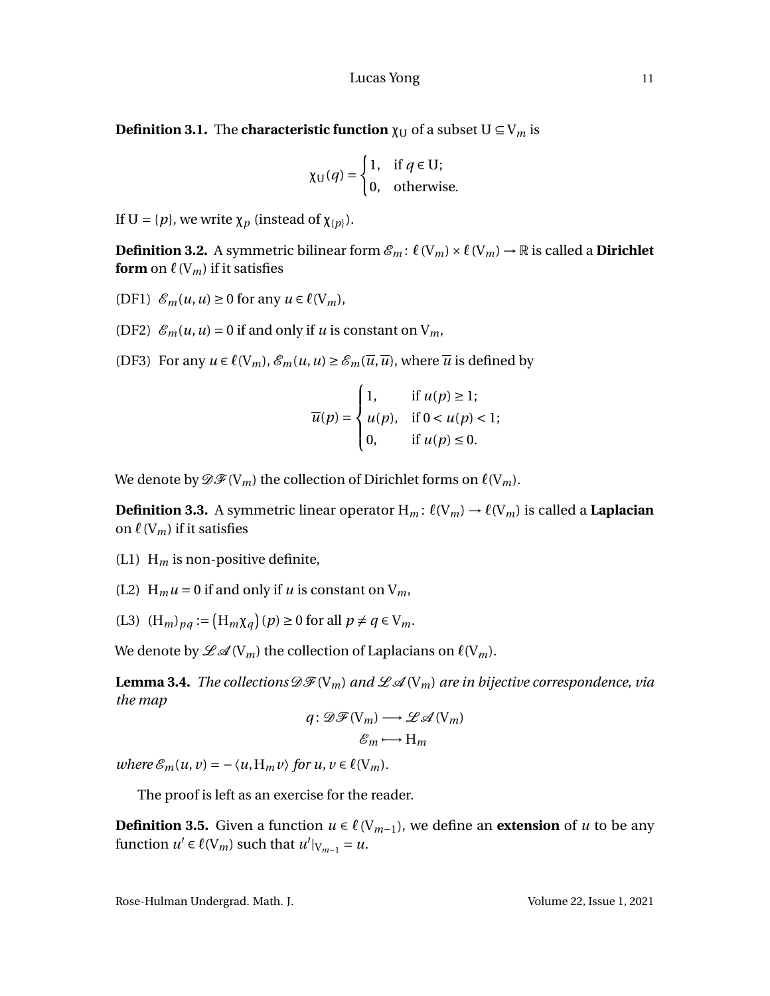**Definition 3.1.** The **characteristic function**  $\chi_U$  of a subset  $U \subseteq V_m$  is

$$
\chi_{\mathrm{U}}(q) = \begin{cases} 1, & \text{if } q \in \mathrm{U}; \\ 0, & \text{otherwise.} \end{cases}
$$

If  $U = \{p\}$ , we write  $\chi_p$  (instead of  $\chi_{\{p\}}$ ).

**Definition 3.2.** A symmetric bilinear form  $\mathcal{E}_m$ :  $\ell(V_m) \times \ell(V_m) \rightarrow \mathbb{R}$  is called a **Dirichlet form** on  $\ell(V_m)$  if it satisfies

(DF1)  $\mathcal{E}_m(u, u) \ge 0$  for any  $u \in \ell(\mathrm{V}_m)$ ,

(DF2)  $\mathcal{E}_m(u, u) = 0$  if and only if *u* is constant on  $V_m$ ,

(DF3) For any  $u \in \ell(V_m)$ ,  $\mathcal{E}_m(u, u) \geq \mathcal{E}_m(\overline{u}, \overline{u})$ , where  $\overline{u}$  is defined by

$$
\overline{u}(p) = \begin{cases}\n1, & \text{if } u(p) \ge 1; \\
u(p), & \text{if } 0 < u(p) < 1; \\
0, & \text{if } u(p) \le 0.\n\end{cases}
$$

We denote by  $\mathscr{D} \mathscr{F}(V_m)$  the collection of Dirichlet forms on  $\ell(V_m)$ .

**Definition 3.3.** A symmetric linear operator  $H_m: \ell(V_m) \to \ell(V_m)$  is called a **Laplacian** on  $\ell(V_m)$  if it satisfies

- (L1)  $H_m$  is non-positive definite,
- (L2)  $H_m u = 0$  if and only if *u* is constant on  $V_m$ ,

(L3)  $(H_m)_{pq} := (H_m \chi_q)(p) \ge 0$  for all  $p \ne q \in V_m$ .

We denote by  $L^2(M_m)$  the collection of Laplacians on  $\ell(V_m)$ .

<span id="page-12-0"></span>**Lemma 3.4.** *The collections*  $\mathscr{D} \mathscr{F}(V_m)$  *and*  $\mathscr{L} \mathscr{A}(V_m)$  *are in bijective correspondence, via the map*

$$
q: \mathscr{DF}(\mathbf{V}_m) \longrightarrow \mathscr{LA}(\mathbf{V}_m)
$$

$$
\mathscr{E}_m \longrightarrow \mathbf{H}_m
$$

*where*  $\mathcal{E}_m(u, v) = -\langle u, H_m v \rangle$  *for*  $u, v \in \ell(\mathcal{V}_m)$ .

The proof is left as an exercise for the reader.

**Definition 3.5.** Given a function *u* ∈  $\ell$  (V<sub>*m*−1</sub>), we define an **extension** of *u* to be any function  $u' \in \ell(\mathrm{V}_m)$  such that  $u'|_{\mathrm{V}_{m-1}} = u$ .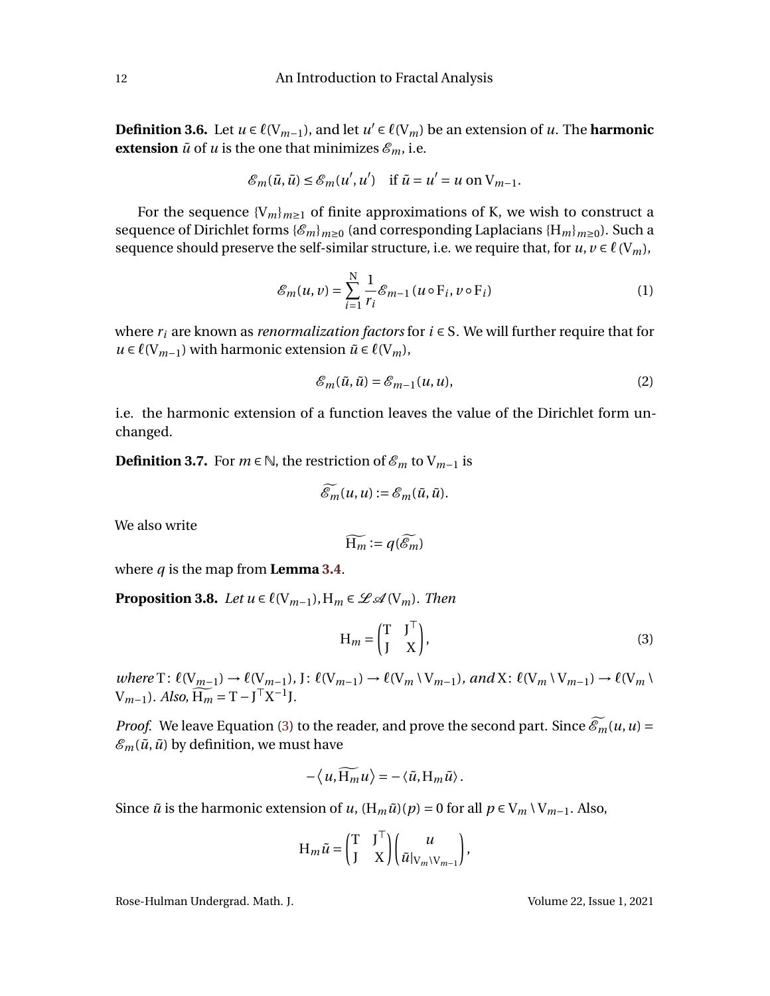**Definition 3.6.** Let *u* ∈  $\ell$ (V<sub>*m*−1</sub>), and let *u*′ ∈  $\ell$ (V<sub>*m*</sub>) be an extension of *u*. The **harmonic extension**  $\tilde{u}$  of *u* is the one that minimizes  $\mathcal{E}_m$ , i.e.

$$
\mathcal{E}_m(\tilde{u}, \tilde{u}) \le \mathcal{E}_m(u', u') \quad \text{if } \tilde{u} = u' = u \text{ on } V_{m-1}.
$$

For the sequence  ${V_m}_{m \geq 1}$  of finite approximations of K, we wish to construct a sequence of Dirichlet forms {E*m*}*m*≥<sup>0</sup> (and corresponding Laplacians {H*m*}*m*≥<sup>0</sup> ). Such a sequence should preserve the self-similar structure, i.e. we require that, for  $u, v \in \ell(V_m)$ ,

$$
\mathcal{E}_m(u,v) = \sum_{i=1}^N \frac{1}{r_i} \mathcal{E}_{m-1}(u \circ F_i, v \circ F_i)
$$
 (1)

where  $r_i$  are known as *renormalization factors* for  $i \in S$ . We will further require that for *u*∈  $\ell$ (V<sub>*m*−1</sub>) with harmonic extension  $\tilde{u} \in \ell$ (V<sub>*m*</sub>),

<span id="page-13-2"></span><span id="page-13-1"></span>
$$
\mathcal{E}_m(\tilde{u}, \tilde{u}) = \mathcal{E}_{m-1}(u, u),\tag{2}
$$

i.e. the harmonic extension of a function leaves the value of the Dirichlet form unchanged.

**Definition 3.7.** For  $m \in \mathbb{N}$ , the restriction of  $\mathcal{E}_m$  to  $V_{m-1}$  is

$$
\widetilde{\mathcal{E}_m}(u,u):=\mathcal{E}_m(\tilde{u},\tilde{u}).
$$

We also write

<span id="page-13-0"></span>
$$
\widetilde{\mathrm{H}_m}:=q(\widetilde{\mathscr{E}_m})
$$

where *q* is the map from **Lemma [3.4](#page-12-0)**.

<span id="page-13-3"></span>**Proposition 3.8.** *Let*  $u \in \ell(V_{m-1}), H_m \in \mathcal{L}(\mathcal{A}(V_m))$ . *Then* 

$$
\mathbf{H}_m = \begin{pmatrix} \mathbf{T} & \mathbf{J}^\top \\ \mathbf{J} & \mathbf{X} \end{pmatrix},\tag{3}
$$

 $where T: \ell(V_{m-1}) \to \ell(V_{m-1}), J: \ell(V_{m-1}) \to \ell(V_m \setminus V_{m-1}), and X: \ell(V_m \setminus V_{m-1}) \to \ell(V_m \setminus V_m)$  $V_{m-1}$ )*. Also,*  $\widetilde{H_m} = T - J^T X^{-1} J$ .

*Proof.* We leave Equation [\(3\)](#page-13-0) to the reader, and prove the second part. Since  $\widetilde{\mathcal{E}}_m(u, u) =$  $\mathcal{E}_m(\tilde{u}, \tilde{u})$  by definition, we must have

$$
-\langle u,\widetilde{H_m}u\rangle=-\langle \tilde{u},H_m\tilde{u}\rangle.
$$

Since  $\tilde{u}$  is the harmonic extension of *u*,  $(H_m \tilde{u})(p) = 0$  for all  $p \in V_m \setminus V_{m-1}$ . Also,

$$
H_m \tilde{u} = \begin{pmatrix} T & J^{\top} \\ J & X \end{pmatrix} \begin{pmatrix} u \\ \tilde{u}|_{V_m \setminus V_{m-1}} \end{pmatrix},
$$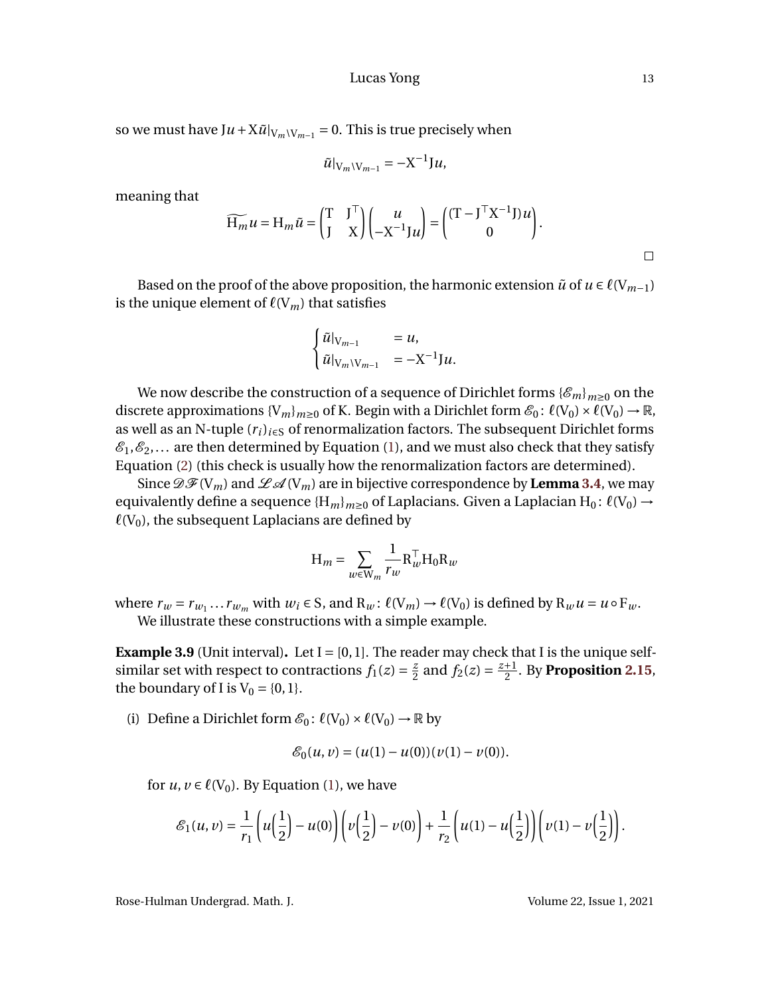so we must have  $Ju + X\tilde{u}|_{V_m\setminus V_{m-1}} = 0$ . This is true precisely when

$$
\tilde{u}|_{V_m\setminus V_{m-1}}=-\mathrm{X}^{-1}\mathrm{J} u,
$$

meaning that

$$
\widetilde{H_m}u = H_m\widetilde{u} = \begin{pmatrix} T & J^{\top} \\ J & X \end{pmatrix} \begin{pmatrix} u \\ -X^{-1}Ju \end{pmatrix} = \begin{pmatrix} (T - J^{\top}X^{-1}J)u \\ 0 \end{pmatrix}.
$$

Based on the proof of the above proposition, the harmonic extension  $\tilde{u}$  of  $u \in \ell(V_{m-1})$ is the unique element of  $\ell(V_m)$  that satisfies

$$
\begin{cases} \tilde{u}|_{V_{m-1}} = u, \\ \tilde{u}|_{V_m \setminus V_{m-1}} = -X^{-1}Ju. \end{cases}
$$

We now describe the construction of a sequence of Dirichlet forms  $\{\mathcal{E}_m\}_{m\geq0}$  on the discrete approximations  ${V_m}_{m\geq0}$  of K. Begin with a Dirichlet form  $\mathcal{E}_0$ :  $\ell(V_0)\times\ell(V_0)\to\mathbb{R}$ , as well as an N-tuple  $(r_i)_{i \in S}$  of renormalization factors. The subsequent Dirichlet forms  $\mathcal{E}_1,\mathcal{E}_2,\ldots$  are then determined by Equation [\(1\)](#page-13-1), and we must also check that they satisfy Equation [\(2\)](#page-13-2) (this check is usually how the renormalization factors are determined).

Since  $\mathscr{D}F(V_m)$  and  $\mathscr{L}A(V_m)$  are in bijective correspondence by **Lemma [3.4](#page-12-0)**, we may equivalently define a sequence  ${H_m}_{m\geq0}$  of Laplacians. Given a Laplacian  $H_0: \ell(V_0) \rightarrow$  $\ell(V_0)$ , the subsequent Laplacians are defined by

$$
\mathbf{H}_m = \sum_{w \in \mathbf{W}_m} \frac{1}{r_w} \mathbf{R}_w^\top \mathbf{H}_0 \mathbf{R}_w
$$

where  $r_w = r_{w_1} \dots r_{w_m}$  with  $w_i \in S$ , and  $R_w : \ell(V_m) \to \ell(V_0)$  is defined by  $R_w u = u \circ F_w$ . We illustrate these constructions with a simple example.

<span id="page-14-0"></span>**Example 3.9** (Unit interval). Let  $I = [0, 1]$ . The reader may check that I is the unique selfsimilar set with respect to contractions  $f_1(z) = \frac{z}{2}$  $\frac{z}{2}$  and  $f_2(z) = \frac{z+1}{2}$ 2 . By **Proposition [2.15](#page-10-0)**, the boundary of I is  $V_0 = \{0, 1\}.$ 

(i) Define a Dirichlet form  $\mathcal{E}_0$ :  $\ell(V_0) \times \ell(V_0) \rightarrow \mathbb{R}$  by

$$
\mathcal{E}_0(u,v) = (u(1) - u(0))(v(1) - v(0)).
$$

for  $u, v \in \ell(V_0)$ . By Equation [\(1\)](#page-13-1), we have

$$
\mathcal{E}_1(u,v) = \frac{1}{r_1}\left(u\left(\frac{1}{2}\right)-u(0)\right)\left(v\left(\frac{1}{2}\right)-v(0)\right)+\frac{1}{r_2}\left(u(1)-u\left(\frac{1}{2}\right)\right)\left(v(1)-v\left(\frac{1}{2}\right)\right).
$$

Rose-Hulman Undergrad. Math. J. Volume 22, Issue 1, 2021

 $\Box$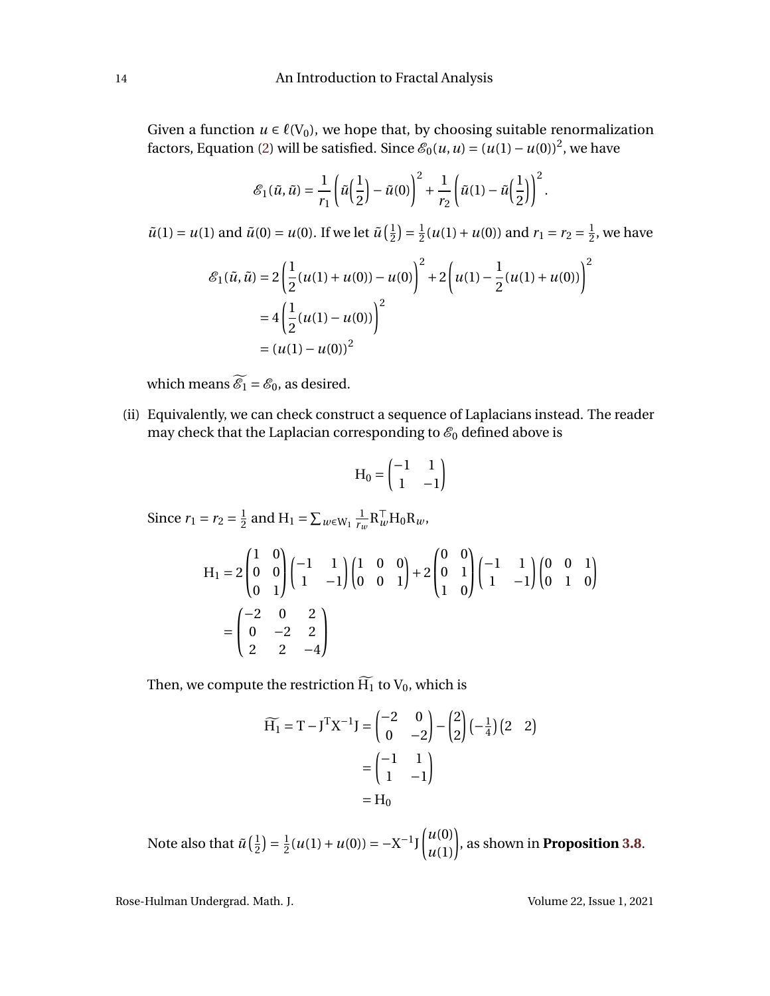Given a function  $u \in \ell(V_0)$ , we hope that, by choosing suitable renormalization factors, Equation [\(2\)](#page-13-2) will be satisfied. Since  $\mathcal{E}_0(u, u) = (u(1) - u(0))^2$ , we have

$$
\mathcal{E}_1(\tilde{u},\tilde{u}) = \frac{1}{r_1} \left( \tilde{u} \left( \frac{1}{2} \right) - \tilde{u}(0) \right)^2 + \frac{1}{r_2} \left( \tilde{u}(1) - \tilde{u} \left( \frac{1}{2} \right) \right)^2.
$$

 $\tilde{u}(1) = u(1)$  and  $\tilde{u}(0) = u(0)$ . If we let  $\tilde{u}(\frac{1}{2})$  $(\frac{1}{2}) = \frac{1}{2}$  $\frac{1}{2}(u(1) + u(0))$  and  $r_1 = r_2 = \frac{1}{2}$  $\frac{1}{2}$ , we have

$$
\mathcal{E}_1(\tilde{u}, \tilde{u}) = 2\left(\frac{1}{2}(u(1) + u(0)) - u(0)\right)^2 + 2\left(u(1) - \frac{1}{2}(u(1) + u(0))\right)^2
$$
  
=  $4\left(\frac{1}{2}(u(1) - u(0))\right)^2$   
=  $(u(1) - u(0))^2$ 

which means  $\widetilde{\mathcal{E}_1} = \mathcal{E}_0$ , as desired.

(ii) Equivalently, we can check construct a sequence of Laplacians instead. The reader may check that the Laplacian corresponding to  $\mathcal{E}_0$  defined above is

$$
H_0 = \begin{pmatrix} -1 & 1 \\ 1 & -1 \end{pmatrix}
$$

Since  $r_1 = r_2 = \frac{1}{2}$  $\frac{1}{2}$  and  $\text{H}_1 = \sum_{w \in \text{W}_1} \frac{1}{r_u}$  $\frac{1}{r_w}$ **R**<sup>T</sup> $_w$ **H**<sub>0</sub>**R**<sub>*w*</sub>,

$$
H_1 = 2\begin{pmatrix} 1 & 0 \\ 0 & 0 \\ 0 & 1 \end{pmatrix} \begin{pmatrix} -1 & 1 \\ 1 & -1 \end{pmatrix} \begin{pmatrix} 1 & 0 & 0 \\ 0 & 0 & 1 \end{pmatrix} + 2\begin{pmatrix} 0 & 0 \\ 0 & 1 \\ 1 & 0 \end{pmatrix} \begin{pmatrix} -1 & 1 \\ 1 & -1 \end{pmatrix} \begin{pmatrix} 0 & 0 & 1 \\ 0 & 1 & 0 \end{pmatrix}
$$

$$
= \begin{pmatrix} -2 & 0 & 2 \\ 0 & -2 & 2 \\ 2 & 2 & -4 \end{pmatrix}
$$

Then, we compute the restriction  $\widetilde{H_1}$  to  $V_0$ , which is

$$
\widetilde{H_1} = T - J^T X^{-1} J = \begin{pmatrix} -2 & 0 \\ 0 & -2 \end{pmatrix} - \begin{pmatrix} 2 \\ 2 \end{pmatrix} \begin{pmatrix} -\frac{1}{4} \end{pmatrix} \begin{pmatrix} 2 & 2 \end{pmatrix}
$$

$$
= \begin{pmatrix} -1 & 1 \\ 1 & -1 \end{pmatrix}
$$

$$
= H_0
$$

Note also that  $\tilde{u}(\frac{1}{2})$  $(\frac{1}{2}) = \frac{1}{2}$  $\frac{1}{2}(u(1) + u(0)) = -X^{-1}J$  $\begin{pmatrix} u(0) \\ u(1) \end{pmatrix}$ , as shown in **Proposition [3.8](#page-13-3)**.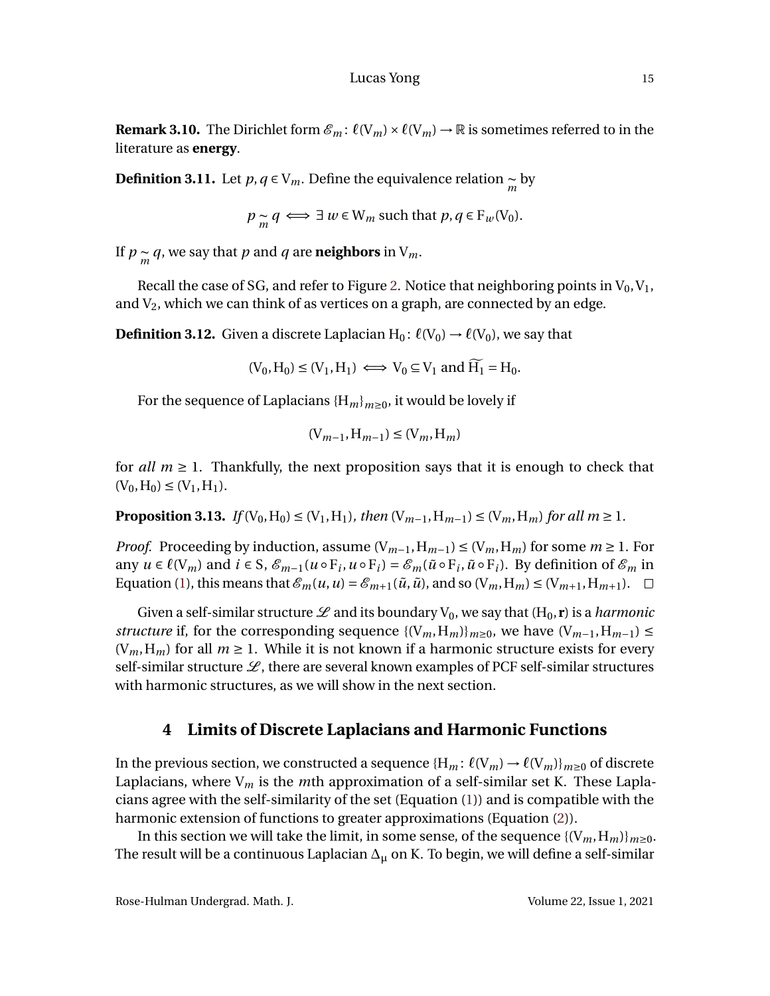**Remark 3.10.** The Dirichlet form  $\mathcal{E}_m$ :  $\ell(V_m) \times \ell(V_m) \rightarrow \mathbb{R}$  is sometimes referred to in the literature as **energy**.

**Definition 3.11.** Let *p*, *q* ∈ V<sub>*m*</sub>. Define the equivalence relation  $\frac{\sim}{m}$  by

$$
p \underset{m}{\sim} q \iff \exists \ w \in W_m \text{ such that } p, q \in F_w(V_0).
$$

If  $p_{\widetilde{m}} q$ , we say that  $p$  and  $q$  are **neighbors** in  $V_m$ .

Recall the case of SG, and refer to Figure [2.](#page-4-0) Notice that neighboring points in  $V_0$ ,  $V_1$ , and  $V_2$ , which we can think of as vertices on a graph, are connected by an edge.

**Definition 3.12.** Given a discrete Laplacian H<sub>0</sub>:  $\ell(V_0) \rightarrow \ell(V_0)$ , we say that

 $(V_0, H_0) \leq (V_1, H_1) \iff V_0 \subseteq V_1$  and  $\widetilde{H_1} = H_0$ .

For the sequence of Laplacians {H*m*}*m*≥<sup>0</sup> , it would be lovely if

$$
(\mathrm{V}_{m-1},\mathrm{H}_{m-1}) \leq (\mathrm{V}_m,\mathrm{H}_m)
$$

for *all*  $m \geq 1$ . Thankfully, the next proposition says that it is enough to check that  $(V_0, H_0) \leq (V_1, H_1).$ 

**Proposition 3.13.** *If* (V<sub>0</sub>, H<sub>0</sub>) ≤ (V<sub>1</sub>, H<sub>1</sub>)*, then* (V<sub>*m*−1</sub>, H<sub>*m*−1</sub>) ≤ (V<sub>*m*</sub>, H<sub>*m*</sub>) *for all m* ≥ 1*.* 

*Proof.* Proceeding by induction, assume  $(V_{m-1}, H_{m-1}) \leq (V_m, H_m)$  for some  $m \geq 1$ . For any  $u \in \ell(\mathcal{V}_m)$  and  $i \in \mathcal{S}$ ,  $\mathcal{E}_{m-1}(u \circ F_i, u \circ F_i) = \mathcal{E}_m(\tilde{u} \circ F_i, \tilde{u} \circ F_i)$ . By definition of  $\mathcal{E}_m$  in Equation [\(1\)](#page-13-1), this means that  $\mathcal{E}_m(u, u) = \mathcal{E}_{m+1}(\tilde{u}, \tilde{u})$ , and so  $(V_m, H_m) \leq (V_{m+1}, H_{m+1})$ .  $\Box$ 

Given a self-similar structure  $\mathcal{L}$  and its boundary  $V_0$ , we say that  $(H_0, \mathbf{r})$  is a *harmonic structure* if, for the corresponding sequence  $\{(V_m,H_m)\}_{m\geq 0}$ , we have  $(V_{m-1},H_{m-1}) \leq$  $(V_m, H_m)$  for all  $m \geq 1$ . While it is not known if a harmonic structure exists for every self-similar structure  $L$ , there are several known examples of PCF self-similar structures with harmonic structures, as we will show in the next section.

### **4 Limits of Discrete Laplacians and Harmonic Functions**

In the previous section, we constructed a sequence  ${H_m : \ell(V_m) \to \ell(V_m)}_{m \geq 0}$  of discrete Laplacians, where  $V_m$  is the *m*th approximation of a self-similar set K. These Laplacians agree with the self-similarity of the set (Equation [\(1\)](#page-13-1)) and is compatible with the harmonic extension of functions to greater approximations (Equation [\(2\)](#page-13-2)).

In this section we will take the limit, in some sense, of the sequence  $\{(V_m, H_m)\}_{m\geq 0}$ . The result will be a continuous Laplacian  $\Delta_{\mu}$  on K. To begin, we will define a self-similar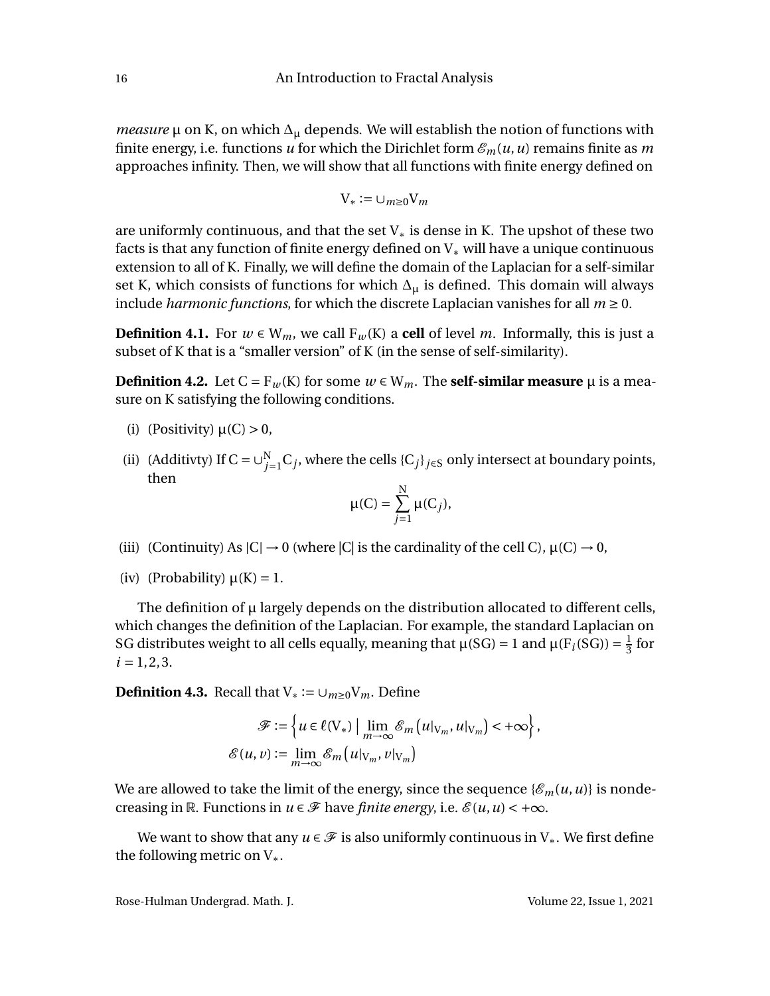*measure*  $\mu$  on K, on which  $\Delta_{\mu}$  depends. We will establish the notion of functions with finite energy, i.e. functions *u* for which the Dirichlet form  $\mathcal{E}_m(u, u)$  remains finite as *m* approaches infinity. Then, we will show that all functions with finite energy defined on

$$
V_* := \cup_{m \geq 0} V_m
$$

are uniformly continuous, and that the set  $V_*$  is dense in K. The upshot of these two facts is that any function of finite energy defined on  $V_*$  will have a unique continuous extension to all of K. Finally, we will define the domain of the Laplacian for a self-similar set K, which consists of functions for which  $\Delta_{\mu}$  is defined. This domain will always include *harmonic functions*, for which the discrete Laplacian vanishes for all  $m \geq 0$ .

**Definition 4.1.** For  $w ∈ W_m$ , we call  $F_w(K)$  a **cell** of level *m*. Informally, this is just a subset of K that is a "smaller version" of K (in the sense of self-similarity).

**Definition 4.2.** Let  $C = F_w(K)$  for some  $w \in W_m$ . The **self-similar measure**  $\mu$  is a measure on K satisfying the following conditions.

- (i) (Positivity)  $\mu(C) > 0$ ,
- (ii) (Additivty) If  $C = \bigcup_{j=1}^{N} C_j$ , where the cells  $\{C_j\}_{j \in S}$  only intersect at boundary points, then

$$
\mu(C) = \sum_{j=1}^N \mu(C_j),
$$

- (iii) (Continuity) As  $|C| \rightarrow 0$  (where  $|C|$  is the cardinality of the cell C),  $\mu(C) \rightarrow 0$ ,
- (iv) (Probability)  $\mu$ (K) = 1.

The definition of  $\mu$  largely depends on the distribution allocated to different cells, which changes the definition of the Laplacian. For example, the standard Laplacian on SG distributes weight to all cells equally, meaning that  $\mu(SG) = 1$  and  $\mu(F_i(SG)) = \frac{1}{3}$  $rac{1}{3}$  for  $i = 1, 2, 3.$ 

**Definition 4.3.** Recall that  $V_* := \bigcup_{m \geq 0} V_m$ . Define

$$
\mathcal{F} := \left\{ u \in \ell(\mathbf{V}_*) \mid \lim_{m \to \infty} \mathcal{E}_m \left( u \big|_{\mathbf{V}_m}, u \big|_{\mathbf{V}_m} \right) < +\infty \right\},\
$$

$$
\mathcal{E}(u, v) := \lim_{m \to \infty} \mathcal{E}_m \left( u \big|_{\mathbf{V}_m}, v \big|_{\mathbf{V}_m} \right)
$$

We are allowed to take the limit of the energy, since the sequence  $\{\mathscr{E}_m(u, u)\}$  is nondecreasing in R. Functions in  $u \in \mathcal{F}$  have *finite energy*, i.e.  $\mathcal{E}(u, u) < +\infty$ .

We want to show that any  $u \in \mathcal{F}$  is also uniformly continuous in  $V_*$ . We first define the following metric on  $V_*$ .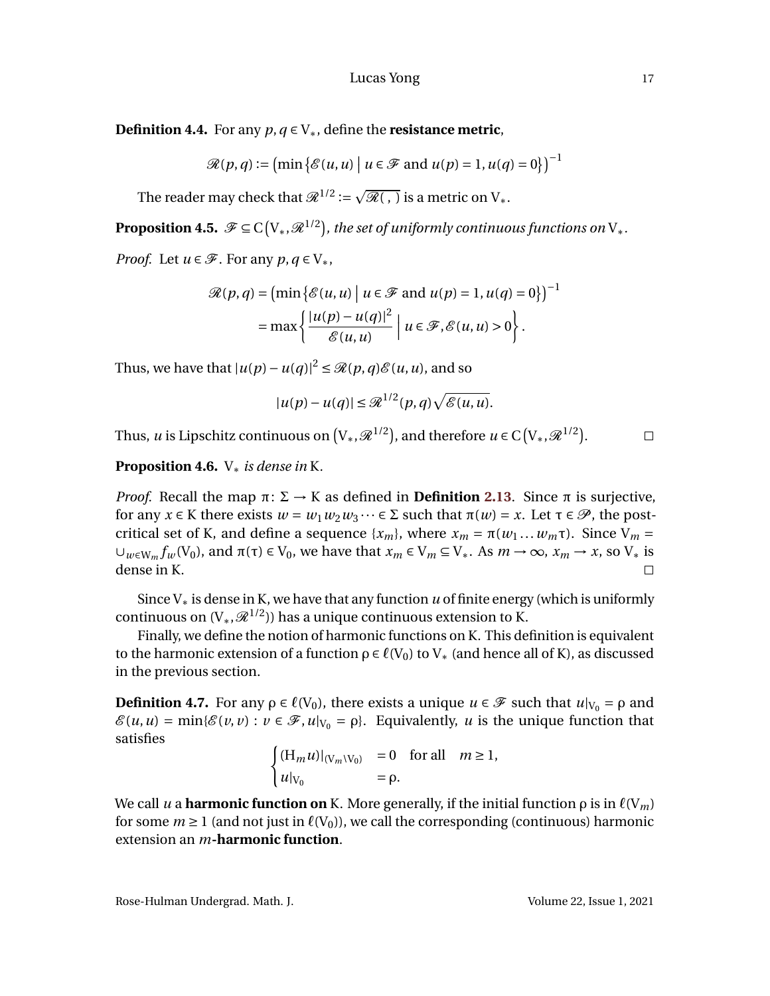**Definition 4.4.** For any  $p, q \in V_*,$  define the **resistance metric**,

$$
\mathcal{R}(p,q) := \left(\min\left\{\mathcal{E}(u,u) \mid u \in \mathcal{F} \text{ and } u(p) = 1, u(q) = 0\right\}\right)^{-1}
$$

The reader may check that  $\mathscr{R}^{1/2}$  :=  $\mathscr{R}(\, , \,)$  is a metric on  $\mathrm{V}_{*}.$ 

**Proposition 4.5.**  $\mathscr{F} \subseteq C(V_*, \mathscr{R}^{1/2})$ , the set of uniformly continuous functions on  $V_*$ .

*Proof.* Let  $u \in \mathcal{F}$ . For any  $p, q \in V_*,$ 

$$
\mathcal{R}(p,q) = \left(\min\left\{\mathcal{E}(u,u) \mid u \in \mathcal{F} \text{ and } u(p) = 1, u(q) = 0\right\}\right)^{-1}
$$

$$
= \max\left\{\frac{|u(p) - u(q)|^2}{\mathcal{E}(u,u)} \mid u \in \mathcal{F}, \mathcal{E}(u,u) > 0\right\}.
$$

Thus, we have that  $|u(p) - u(q)|^2 \le \mathcal{R}(p,q)\mathcal{E}(u,u)$ , and so

$$
|u(p) - u(q)| \leq \mathcal{R}^{1/2}(p,q)\sqrt{\mathcal{E}(u,u)}.
$$

Thus, *u* is Lipschitz continuous on  $(V_*, \mathcal{R}^{1/2})$ , and therefore  $u \in C(V_*, \mathcal{R}^{1/2})$ .  $\Box$ 

**Proposition 4.6.** V∗ *is dense in* K*.*

*Proof.* Recall the map  $\pi: \Sigma \to K$  as defined in **Definition [2.13](#page-9-2)**. Since  $\pi$  is surjective, for any  $x \in K$  there exists  $w = w_1 w_2 w_3 \cdots \in \Sigma$  such that  $\pi(w) = x$ . Let  $\tau \in \mathcal{P}$ , the postcritical set of K, and define a sequence  $\{x_m\}$ , where  $x_m = \pi(w_1 \dots w_m \tau)$ . Since  $V_m =$  $∪_{w ∈ W_m} f_w(V_0)$ , and π(τ) ∈  $V_0$ , we have that  $x_m ∈ V_m ⊆ V_*$ . As  $m → ∞$ ,  $x_m → x$ , so  $V_*$  is dense in K.  $\Box$ 

Since V∗ is dense in K, we have that any function *u* of finite energy (which is uniformly continuous on  $(V_*, \mathcal{R}^{1/2})$  has a unique continuous extension to K.

Finally, we define the notion of harmonic functions on K. This definition is equivalent to the harmonic extension of a function  $\rho \in \ell(V_0)$  to  $V_*$  (and hence all of K), as discussed in the previous section.

**Definition 4.7.** For any  $\rho \in \ell(V_0)$ , there exists a unique  $u \in \mathcal{F}$  such that  $u|_{V_0} = \rho$  and  $\mathscr{E}(u, u) = \min{\mathscr{E}(v, v) : v \in \mathscr{F}, u|_{V_0} = \rho}$ . Equivalently, *u* is the unique function that satisfies

$$
\begin{cases}\n(\text{H}_m u)|_{(\text{V}_m \setminus \text{V}_0)} = 0 \quad \text{for all} \quad m \ge 1, \\
u|_{\text{V}_0} = \rho.\n\end{cases}
$$

We call *u* a **harmonic function on** K. More generally, if the initial function  $\rho$  is in  $\ell(V_m)$ for some  $m \ge 1$  (and not just in  $\ell(V_0)$ ), we call the corresponding (continuous) harmonic extension an *m***-harmonic function**.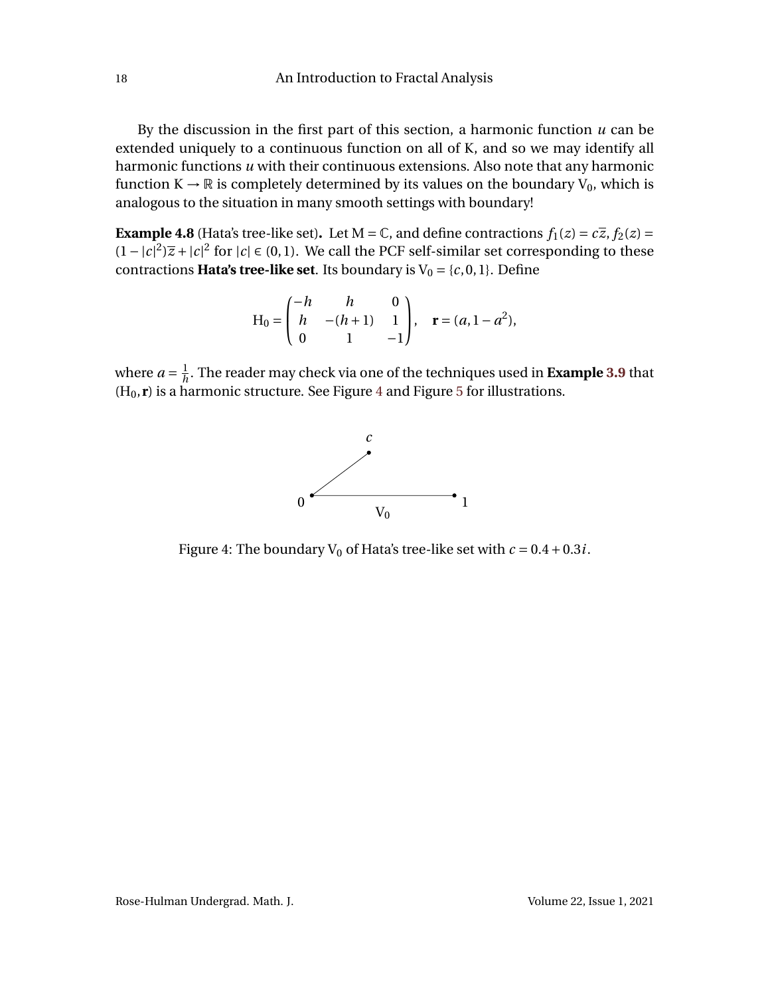By the discussion in the first part of this section, a harmonic function *u* can be extended uniquely to a continuous function on all of K, and so we may identify all harmonic functions *u* with their continuous extensions. Also note that any harmonic function  $K \to \mathbb{R}$  is completely determined by its values on the boundary  $V_0$ , which is analogous to the situation in many smooth settings with boundary!

**Example 4.8** (Hata's tree-like set). Let  $M = \mathbb{C}$ , and define contractions  $f_1(z) = c\overline{z}$ ,  $f_2(z) = c$  $(1 - |c|^2)$  $\overline{z}$  +  $|c|^2$  for  $|c|$  ∈ (0,1). We call the PCF self-similar set corresponding to these contractions **Hata's tree-like set**. Its boundary is  $V_0 = \{c, 0, 1\}$ . Define

$$
H_0 = \begin{pmatrix} -h & h & 0 \\ h & -(h+1) & 1 \\ 0 & 1 & -1 \end{pmatrix}, \quad \mathbf{r} = (a, 1 - a^2),
$$

where  $a = \frac{1}{h}$ *h* . The reader may check via one of the techniques used in **Example [3.9](#page-14-0)** that  $(H_0, r)$  is a harmonic structure. See Figure [4](#page-19-0) and Figure [5](#page-20-0) for illustrations.

<span id="page-19-0"></span>

Figure 4: The boundary  $V_0$  of Hata's tree-like set with  $c = 0.4 + 0.3i$ .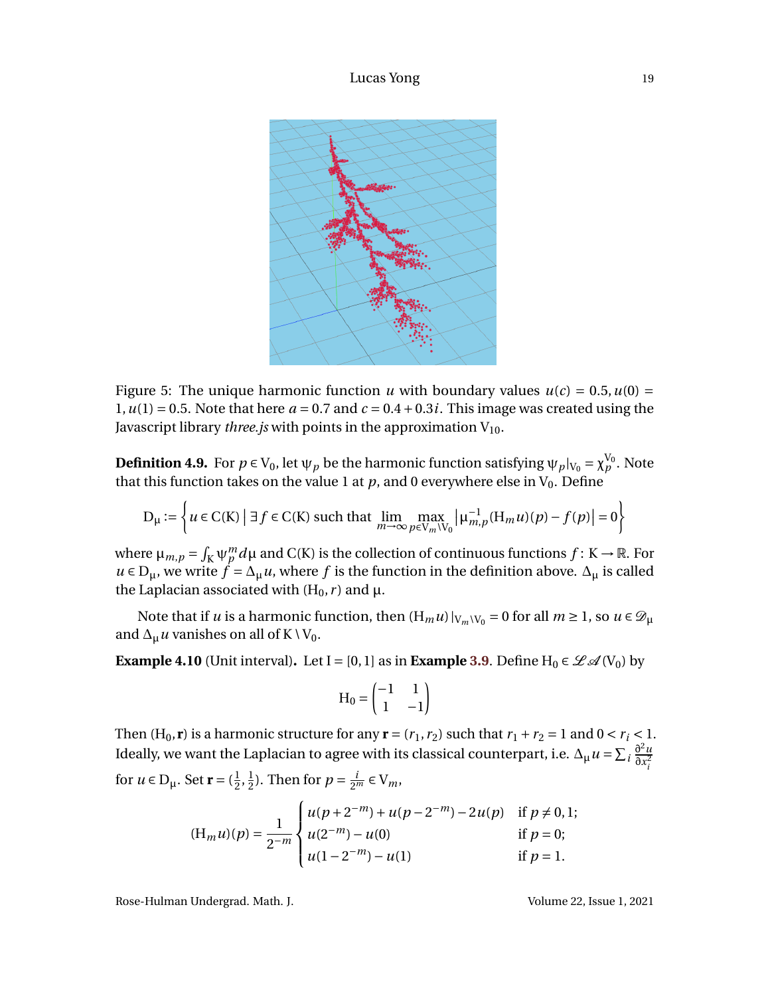<span id="page-20-0"></span>

Figure 5: The unique harmonic function *u* with boundary values  $u(c) = 0.5, u(0) = 0.5$  $1, u(1) = 0.5$ . Note that here  $a = 0.7$  and  $c = 0.4 + 0.3i$ . This image was created using the Javascript library *three.js* with points in the approximation  $V_{10}$ .

**Definition 4.9.** For  $p \in V_0$ , let  $\psi_p$  be the harmonic function satisfying  $\psi_p|_{V_0} = \chi_p^{V_0}$ . Note that this function takes on the value 1 at  $p$ , and 0 everywhere else in  $V_0$ . Define

$$
D_{\mu} := \left\{ u \in C(K) \mid \exists f \in C(K) \text{ such that } \lim_{m \to \infty} \max_{p \in V_m \backslash V_0} \left| \mu_{m,p}^{-1}(H_m u)(p) - f(p) \right| = 0 \right\}
$$

where  $\mu_{m,p} = \int_K \psi_p^m d\mu$  and C(K) is the collection of continuous functions  $f: K \to \mathbb{R}$ . For *u* ∈ D<sub>µ</sub>, we write  $\dot{f} = \Delta_{\mu} u$ , where *f* is the function in the definition above.  $\Delta_{\mu}$  is called the Laplacian associated with  $(H_0, r)$  and  $\mu$ .

Note that if *u* is a harmonic function, then  $(H_m u)|_{V_m \setminus V_0} = 0$  for all  $m \ge 1$ , so  $u \in \mathcal{D}_{\mu}$ and  $\Delta_{\mu} u$  vanishes on all of K \ V<sub>0</sub>.

**Example 4.10** (Unit interval). Let I = [0, 1] as in **Example [3.9](#page-14-0)**. Define H<sub>0</sub>  $\in \mathcal{LA}(V_0)$  by

$$
H_0 = \begin{pmatrix} -1 & 1 \\ 1 & -1 \end{pmatrix}
$$

Then  $(H_0, r)$  is a harmonic structure for any  $r = (r_1, r_2)$  such that  $r_1 + r_2 = 1$  and  $0 < r_i < 1$ . Ideally, we want the Laplacian to agree with its classical counterpart, i.e.  $\Delta_\mu u = \sum_i \frac{\partial^2 u}{\partial x^2}$  $\partial x_i^2$ for  $u \in D_{\mu}$ . Set **r** =  $(\frac{1}{2})$  $\frac{1}{2}, \frac{1}{2}$  $\frac{1}{2}$ ). Then for  $p = \frac{i}{2^m} \in V_m$ ,

$$
(\mathbf{H}_{m}u)(p) = \frac{1}{2^{-m}} \begin{cases} u(p+2^{-m}) + u(p-2^{-m}) - 2u(p) & \text{if } p \neq 0, 1; \\ u(2^{-m}) - u(0) & \text{if } p = 0; \\ u(1-2^{-m}) - u(1) & \text{if } p = 1. \end{cases}
$$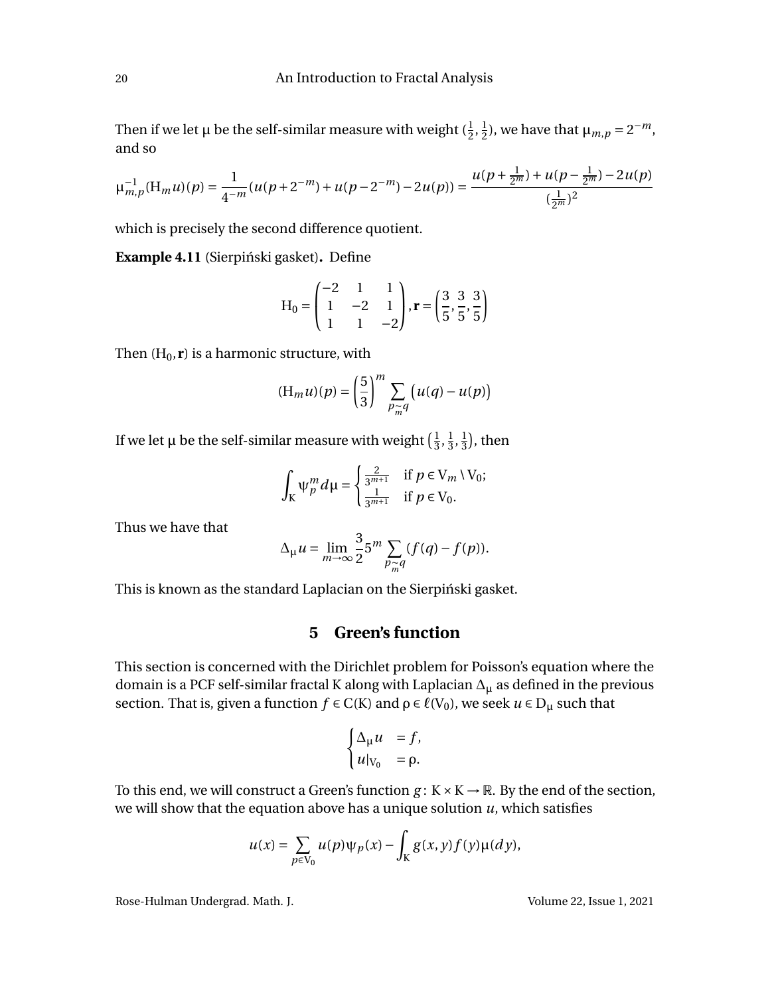Then if we let  $\mu$  be the self-similar measure with weight  $(\frac{1}{2},\frac{1}{2})$  $\frac{1}{2}$ ), we have that  $\mu_{m,p} = 2^{-m}$ , and so

$$
\mu_{m,p}^{-1}(\mathbf{H}_m u)(p) = \frac{1}{4^{-m}} (u(p + 2^{-m}) + u(p - 2^{-m}) - 2u(p)) = \frac{u(p + \frac{1}{2^m}) + u(p - \frac{1}{2^m}) - 2u(p)}{(\frac{1}{2^m})^2}
$$

which is precisely the second difference quotient.

**Example 4.11** (Sierpiński gasket). Define

$$
H_0 = \begin{pmatrix} -2 & 1 & 1 \\ 1 & -2 & 1 \\ 1 & 1 & -2 \end{pmatrix}, \mathbf{r} = \left(\frac{3}{5}, \frac{3}{5}, \frac{3}{5}\right)
$$

Then  $(H_0, r)$  is a harmonic structure, with

$$
(\mathbf{H}_{m}u)(p) = \left(\frac{5}{3}\right)^{m} \sum_{p_{\widetilde{m}}q} \left(u(q) - u(p)\right)
$$

If we let µ be the self-similar measure with weight  $(\frac{1}{3})$  $\frac{1}{3}, \frac{1}{3}$  $\frac{1}{3}, \frac{1}{3}$  $\frac{1}{3}$ ), then

$$
\int_{K} \Psi_{p}^{m} d\mu = \begin{cases} \frac{2}{3^{m+1}} & \text{if } p \in V_{m} \setminus V_{0}; \\ \frac{1}{3^{m+1}} & \text{if } p \in V_{0}. \end{cases}
$$

Thus we have that

$$
\Delta_{\mu} u = \lim_{m \to \infty} \frac{3}{2} 5^m \sum_{p \underset{m}{\sim} q} (f(q) - f(p)).
$$

This is known as the standard Laplacian on the Sierpiński gasket.

#### **5 Green's function**

This section is concerned with the Dirichlet problem for Poisson's equation where the domain is a PCF self-similar fractal K along with Laplacian  $\Delta_{\mu}$  as defined in the previous section. That is, given a function  $f \in C(K)$  and  $\rho \in \ell(V_0)$ , we seek  $u \in D_\mu$  such that

$$
\begin{cases} \Delta_{\mu} u = f, \\ u|_{V_0} = \rho. \end{cases}
$$

To this end, we will construct a Green's function  $g: K \times K \to \mathbb{R}$ . By the end of the section, we will show that the equation above has a unique solution *u*, which satisfies

$$
u(x) = \sum_{p \in V_0} u(p)\psi_p(x) - \int_K g(x, y)f(y)\mu(dy),
$$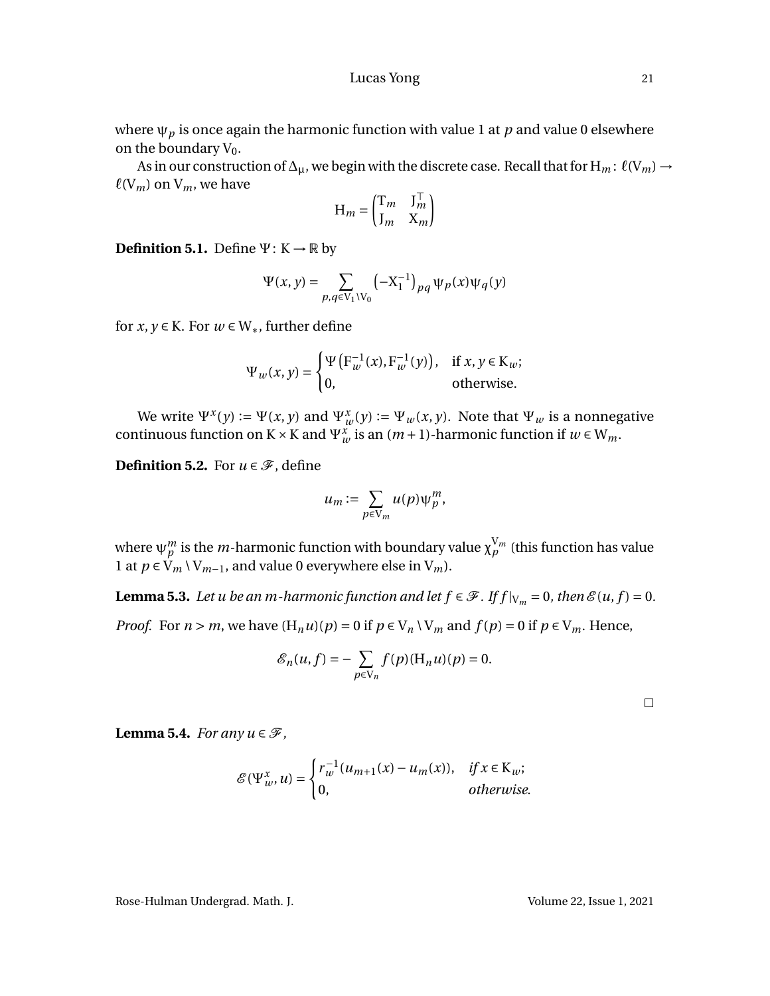where  $\psi_p$  is once again the harmonic function with value 1 at  $p$  and value 0 elsewhere on the boundary  $V_0$ .

As in our construction of  $\Delta_{\mu}$ , we begin with the discrete case. Recall that for H<sub>m</sub>:  $\ell(V_m) \rightarrow$  $\ell(V_m)$  on  $V_m$ , we have

$$
\mathbf{H}_m = \begin{pmatrix} \mathbf{T}_m & \mathbf{J}_m^\top \\ \mathbf{J}_m & \mathbf{X}_m \end{pmatrix}
$$

**Definition 5.1.** Define  $\Psi: K \to \mathbb{R}$  by

$$
\Psi(x, y) = \sum_{p, q \in V_1 \backslash V_0} (-X_1^{-1})_{pq} \psi_p(x) \psi_q(y)
$$

for *x*,  $y \in K$ . For  $w \in W_*$ , further define

$$
\Psi_w(x, y) = \begin{cases} \Psi\left(\mathbf{F}_w^{-1}(x), \mathbf{F}_w^{-1}(y)\right), & \text{if } x, y \in \mathbf{K}_w; \\ 0, & \text{otherwise.} \end{cases}
$$

We write  $\Psi^x(y) := \Psi(x, y)$  and  $\Psi^x_w(y) := \Psi_w(x, y)$ . Note that  $\Psi_w$  is a nonnegative continuous function on K × K and  $\Psi_w^x$  is an  $(m+1)$ -harmonic function if  $w \in W_m$ .

**Definition 5.2.** For  $u \in \mathcal{F}$ , define

$$
u_m := \sum_{p \in V_m} u(p) \psi_p^m,
$$

where  $\psi^m_p$  is the  $m$ -harmonic function with boundary value  $\chi_p^{\mathrm{V}_m}$  (this function has value 1 at *p* ∈  $V_m \setminus V_{m-1}$ , and value 0 everywhere else in  $V_m$ ).

<span id="page-22-0"></span>**Lemma 5.3.** *Let u be an m-harmonic function and let*  $f \in \mathcal{F}$ *. If*  $f|_{V_m} = 0$ *, then*  $\mathcal{E}(u, f) = 0$ *.* 

*Proof.* For  $n > m$ , we have  $(H_n u)(p) = 0$  if  $p \in V_n \setminus V_m$  and  $f(p) = 0$  if  $p \in V_m$ . Hence,

$$
\mathcal{E}_n(u,f)=-\sum_{p\in V_n}f(p)(H_nu)(p)=0.
$$

 $\Box$ 

<span id="page-22-1"></span>**Lemma 5.4.** *For any*  $u \in \mathcal{F}$ ,

$$
\mathcal{E}(\Psi^x_w, u) = \begin{cases} r_w^{-1}(u_{m+1}(x) - u_m(x)), & \text{if } x \in \mathcal{K}_w; \\ 0, & \text{otherwise.} \end{cases}
$$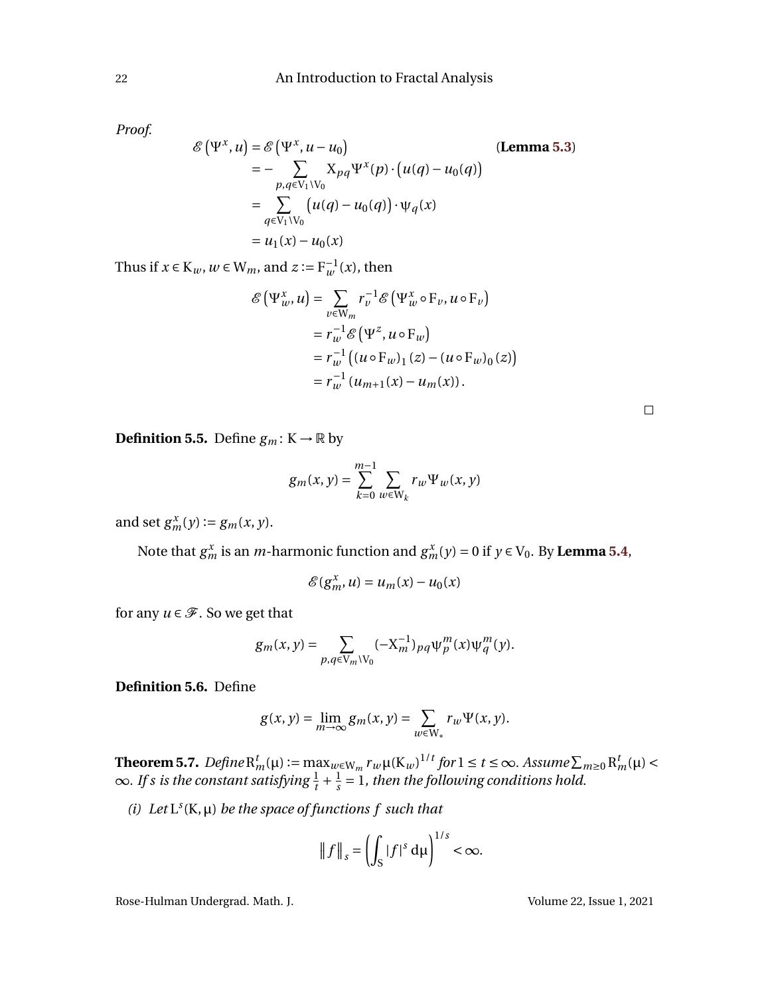*Proof.*

$$
\mathcal{E}(\Psi^x, u) = \mathcal{E}(\Psi^x, u - u_0)
$$
 (Lemma 5.3)  
\n
$$
= - \sum_{p,q \in V_1 \backslash V_0} X_{pq} \Psi^x(p) \cdot (u(q) - u_0(q))
$$
  
\n
$$
= \sum_{q \in V_1 \backslash V_0} (u(q) - u_0(q)) \cdot \Psi_q(x)
$$
  
\n
$$
= u_1(x) - u_0(x)
$$

Thus if  $x \in K_w$ ,  $w \in W_m$ , and  $z := F_w^{-1}(x)$ , then

$$
\mathcal{E}(\Psi_w^x, u) = \sum_{v \in W_m} r_v^{-1} \mathcal{E}(\Psi_w^x \circ F_v, u \circ F_v)
$$
  
=  $r_w^{-1} \mathcal{E}(\Psi^z, u \circ F_w)$   
=  $r_w^{-1} ((u \circ F_w)_1 (z) - (u \circ F_w)_0 (z))$   
=  $r_w^{-1} (u_{m+1}(x) - u_m(x)).$ 

**Definition 5.5.** Define  $g_m: K \to \mathbb{R}$  by

$$
g_m(x, y) = \sum_{k=0}^{m-1} \sum_{w \in W_k} r_w \Psi_w(x, y)
$$

and set  $g_m^x(y) := g_m(x, y)$ .

Note that  $g_m^x$  is an *m*-harmonic function and  $g_m^x(y) = 0$  if  $y \in V_0$ . By **Lemma [5.4](#page-22-1)**,

$$
\mathscr{E}(g_m^x, u) = u_m(x) - u_0(x)
$$

for any  $u \in \mathcal{F}$ . So we get that

$$
g_m(x, y) = \sum_{p, q \in V_m \backslash V_0} (-X_m^{-1})_{pq} \psi_p^m(x) \psi_q^m(y).
$$

**Definition 5.6.** Define

$$
g(x, y) = \lim_{m \to \infty} g_m(x, y) = \sum_{w \in W_*} r_w \Psi(x, y).
$$

<span id="page-23-0"></span>**Theorem 5.7.**  $Define R_m^t(\mu) := \max_{w \in W_m} r_w \mu(K_w)^{1/t}$  for  $1 \le t \le \infty$ . Assume  $\sum_{m \ge 0} R_m^t(\mu)$  $\infty$ *. If s is the constant satisfying*  $\frac{1}{t} + \frac{1}{s}$  $\frac{1}{s}$  = 1*, then the following conditions hold.* 

(*i*) Let  $L^{s}(K, \mu)$  *be the space of functions f such that* 

$$
\|f\|_s = \left(\int_S |f|^s \, \mathrm{d}\mu\right)^{1/s} < \infty.
$$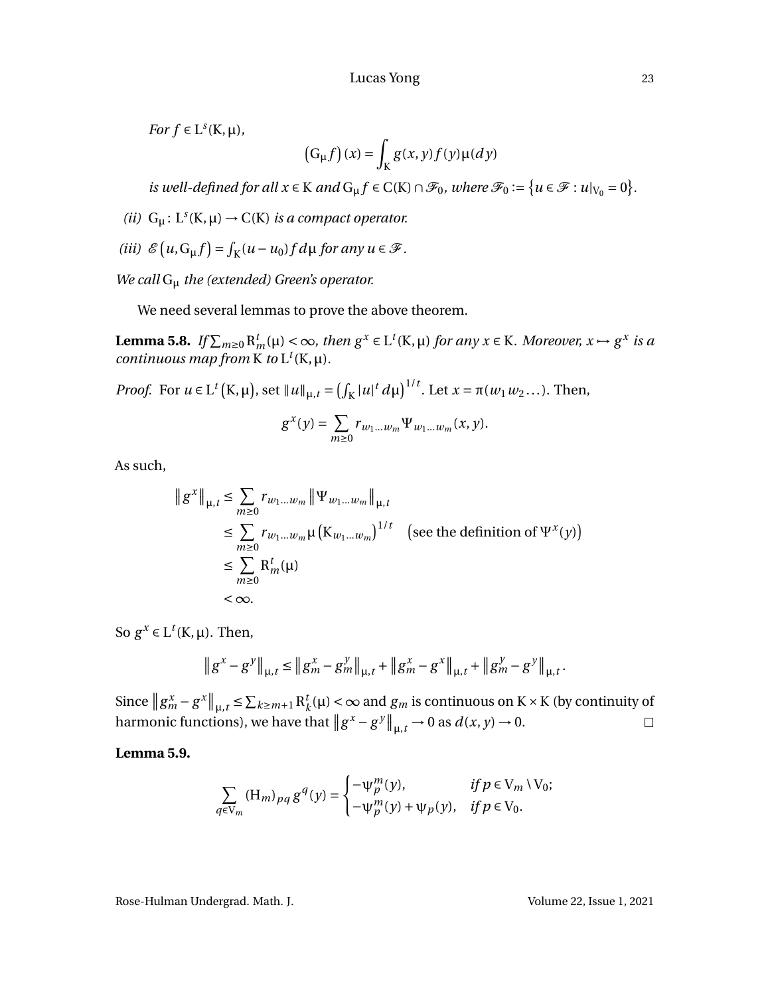*For*  $f \in L^s(K, \mu)$ *,* 

$$
(G_{\mu}f)(x) = \int_{K} g(x, y) f(y) \mu(dy)
$$

*is well-defined for all*  $x \in K$  *and*  $G_{\mu} f \in C(K) \cap \mathcal{F}_0$ *, where*  $\mathcal{F}_0 := \{u \in \mathcal{F} : u|_{V_0} = 0\}$ *.* 

(*ii*)  $G_{\mu}$ :  $L^{s}(K, \mu) \rightarrow C(K)$  *is a compact operator.* 

(*iii*)  $\mathcal{E}\left(u, G_{\mu}f\right) = \int_{K}(u - u_0)f d\mu$  *for any*  $u \in \mathcal{F}$ *.* 

*We call* G<sup>µ</sup> *the (extended) Green's operator.*

We need several lemmas to prove the above theorem.

<span id="page-24-1"></span>**Lemma 5.8.** *If*  $\sum_{m\geq 0} R_m^t(\mu) < \infty$ , then  $g^x \in L^t(K, \mu)$  for any  $x \in K$ . Moreover,  $x \mapsto g^x$  is a *continuous map from* K *to*  $L^t(K, \mu)$ *.* 

*Proof.* For  $u \in L^t(K, \mu)$ , set  $||u||_{\mu, t} = (\int_K |u|^t d\mu)^{1/t}$ . Let  $x = \pi(w_1 w_2 ...)$ . Then,

$$
g^{x}(y) = \sum_{m \geq 0} r_{w_1...w_m} \Psi_{w_1...w_m}(x, y).
$$

As such,

$$
\|g^x\|_{\mu,t} \leq \sum_{m\geq 0} r_{w_1\ldots w_m} \|\Psi_{w_1\ldots w_m}\|_{\mu,t}
$$
  
\n
$$
\leq \sum_{m\geq 0} r_{w_1\ldots w_m} \mu \left(K_{w_1\ldots w_m}\right)^{1/t} \quad \text{(see the definition of } \Psi^x(y)\text{)}
$$
  
\n
$$
\leq \sum_{m\geq 0} R_m^t(\mu)
$$
  
\n
$$
< \infty.
$$

So  $g^x \in L^t(K, \mu)$ . Then,

$$
\|g^{x}-g^{y}\|_{\mu,t} \leq \|g^{x}_{m}-g^{y}_{m}\|_{\mu,t} + \|g^{x}_{m}-g^{x}\|_{\mu,t} + \|g^{y}_{m}-g^{y}\|_{\mu,t}.
$$

 $\left\| g_m^x - g^x \right\|_{\mu, t} \le \sum_{k \ge m+1} R_k^t$  $k_k^t(\mu) < \infty$  and  $g_m$  is continuous on  $K \times K$  (by continuity of harmonic functions), we have that  $||g^x - g^y||_{\mu, t} \to 0$  as  $d(x, y) \to 0$ .  $\Box$ 

<span id="page-24-0"></span>**Lemma 5.9.**

$$
\sum_{q \in V_m} (H_m)_{pq} g^q(y) = \begin{cases} -\psi_p^m(y), & \text{if } p \in V_m \setminus V_0; \\ -\psi_p^m(y) + \psi_p(y), & \text{if } p \in V_0. \end{cases}
$$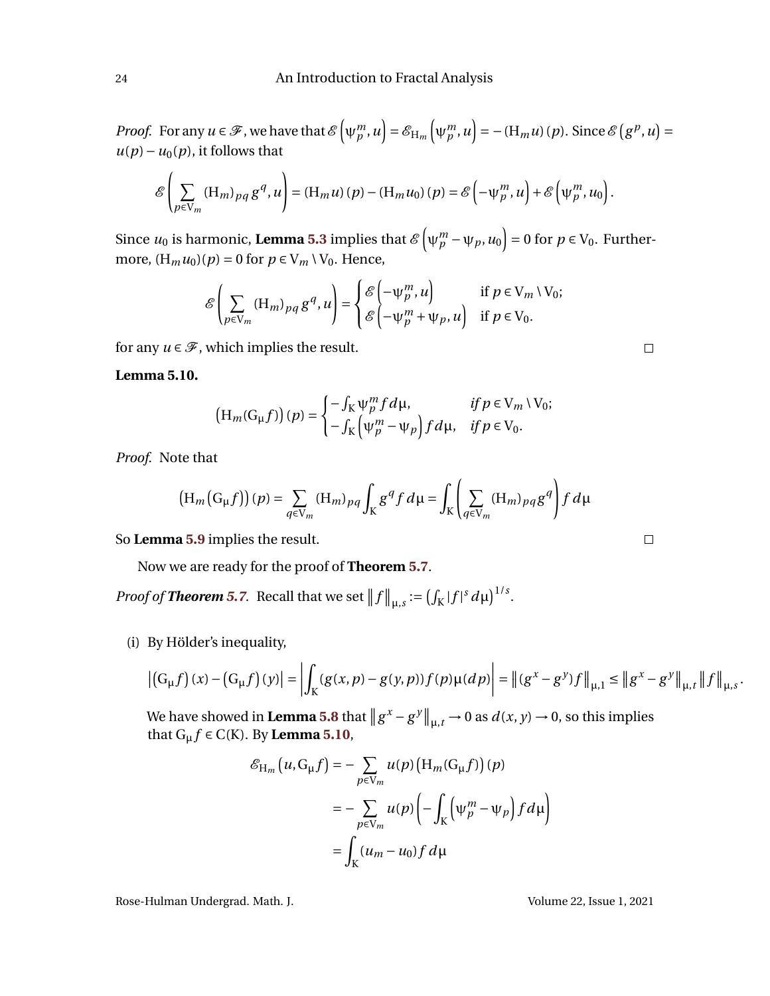*Proof.* For any  $u \in \mathcal{F}$ , we have that  $\mathcal{E}(\psi_p^m, u) = \mathcal{E}_{H_m}(\psi_p^m, u) = - (H_m u)(p)$ . Since  $\mathcal{E}(g^p, u) =$  $u(p) - u_0(p)$ , it follows that

$$
\mathscr{E}\left(\sum_{p\in V_m}(\mathbf{H}_m)_{pq}g^q, u\right) = (\mathbf{H}_m u)(p) - (\mathbf{H}_m u_0)(p) = \mathscr{E}\left(-\psi_p^m, u\right) + \mathscr{E}\left(\psi_p^m, u_0\right).
$$

Since  $u_0$  is harmonic, **Lemma [5.3](#page-22-0)** implies that  $\mathscr{E}\left(\psi^m_p - \psi_p, u_0\right) = 0$  for  $p \in V_0$ . Furthermore,  $(H_m u_0)(p) = 0$  for  $p \in V_m \setminus V_0$ . Hence,

$$
\mathcal{E}\left(\sum_{p\in V_m}(\mathbf{H}_m)_{pq}g^q, u\right) = \begin{cases} \mathcal{E}\left(-\psi_p^m, u\right) & \text{if } p \in V_m \setminus V_0; \\ \mathcal{E}\left(-\psi_p^m + \psi_p, u\right) & \text{if } p \in V_0. \end{cases}
$$

for any  $u \in \mathcal{F}$ , which implies the result.

#### <span id="page-25-0"></span>**Lemma 5.10.**

$$
(H_m(G_\mu f))(p) = \begin{cases} -\int_K \psi_p^m f d\mu, & \text{if } p \in V_m \setminus V_0; \\ -\int_K \left( \psi_p^m - \psi_p \right) f d\mu, & \text{if } p \in V_0. \end{cases}
$$

*Proof.* Note that

$$
\left(\mathbf{H}_{m}\left(\mathbf{G}_{\mu}f\right)\right)(p) = \sum_{q \in \mathbf{V}_{m}} \left(\mathbf{H}_{m}\right)_{pq} \int_{\mathbf{K}} g^{q} f d\mu = \int_{\mathbf{K}} \left(\sum_{q \in \mathbf{V}_{m}} \left(\mathbf{H}_{m}\right)_{pq} g^{q}\right) f d\mu
$$

So **Lemma [5.9](#page-24-0)** implies the result.

Now we are ready for the proof of **Theorem [5.7](#page-23-0)**.

*Proof of Theorem [5.7](#page-23-0).* Recall that we set  $||f||_{\mu,s} := (\int_K |f|^s d\mu)^{1/s}$ .

(i) By Hölder's inequality,

$$
\left| \left( G_{\mu} f \right) (x) - \left( G_{\mu} f \right) (y) \right| = \left| \int_{K} (g(x, p) - g(y, p)) f(p) \mu(dp) \right| = \left\| (g^{x} - g^{y}) f \right\|_{\mu, 1} \leq \left\| g^{x} - g^{y} \right\|_{\mu, t} \left\| f \right\|_{\mu, s}.
$$

We have showed in **Lemma** [5.8](#page-24-1) that  $||g^x - g^y||_{\mu, t} \to 0$  as  $d(x, y) \to 0$ , so this implies that  $G_{\mu} f \in C(K)$ . By **Lemma [5.10](#page-25-0)**,

$$
\mathcal{E}_{H_m}\left(u, G_{\mu}f\right) = -\sum_{p \in V_m} u(p) \left(H_m(G_{\mu}f)\right)(p)
$$
  

$$
= -\sum_{p \in V_m} u(p) \left(-\int_K \left(\psi_p^m - \psi_p\right) f d\mu\right)
$$
  

$$
= \int_K (u_m - u_0) f d\mu
$$

Rose-Hulman Undergrad. Math. J. Volume 22, Issue 1, 2021

 $\Box$ 

 $\Box$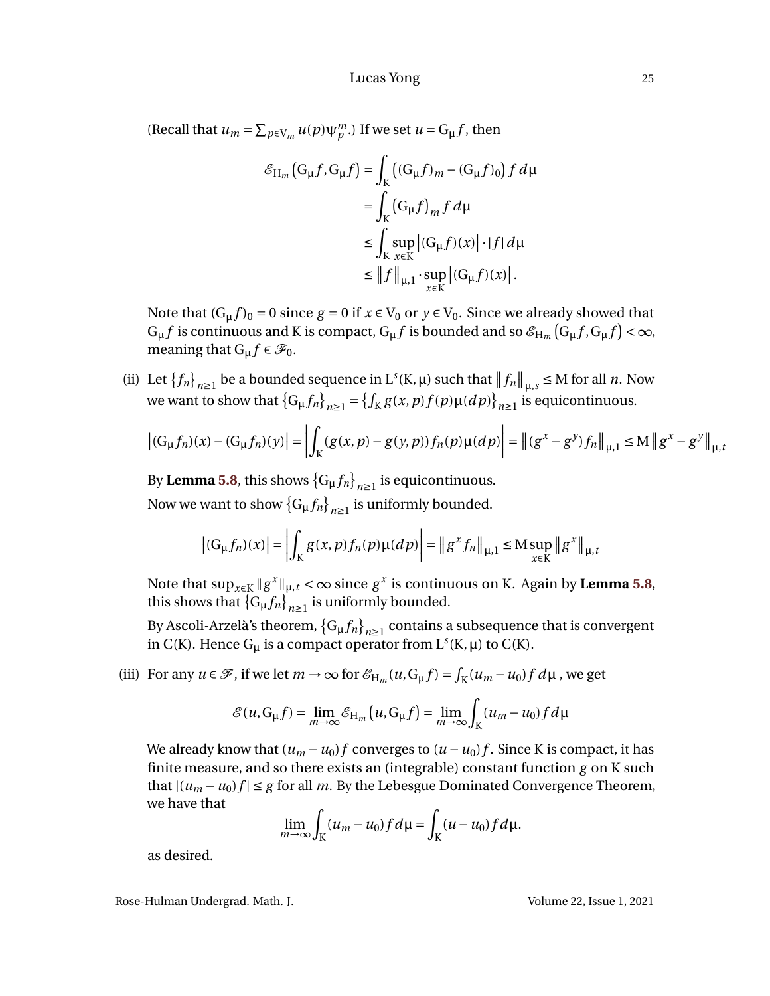(Recall that  $u_m = \sum_{p \in V_m} u(p) \psi_p^m$ .) If we set  $u = G_\mu f$ , then

$$
\mathcal{E}_{H_m} \left( G_{\mu} f, G_{\mu} f \right) = \int_K \left( (G_{\mu} f)_m - (G_{\mu} f)_0 \right) f d\mu
$$
  

$$
= \int_K \left( G_{\mu} f \right)_m f d\mu
$$
  

$$
\leq \int_K \sup_{x \in K} \left| (G_{\mu} f)(x) \right| \cdot |f| d\mu
$$
  

$$
\leq \|f\|_{\mu, 1} \cdot \sup_{x \in K} \left| (G_{\mu} f)(x) \right|.
$$

Note that  $(G_{\mu} f)_0 = 0$  since  $g = 0$  if  $x \in V_0$  or  $y \in V_0$ . Since we already showed that  $G_\mu f$  is continuous and K is compact,  $G_\mu f$  is bounded and so  $\mathscr{E}_{H_m}(G_\mu f,G_\mu f) < \infty$ , meaning that  $G_{\mu} f \in \mathcal{F}_0$ .

(ii) Let  $\{f_n\}_{n\geq 1}$  be a bounded sequence in  $L^s(K, \mu)$  such that  $||f_n||_{\mu, s} \leq M$  for all *n*. Now we want to show that  $\{G_\mu f_n\}_{n\geq 1} = \{ \int_K g(x, p) f(p) \mu(dp) \}_{n\geq 1}$  is equicontinuous.

$$
\left| (G_{\mu}f_n)(x) - (G_{\mu}f_n)(y) \right| = \left| \int_K (g(x, p) - g(y, p)) f_n(p) \mu(dp) \right| = \left\| (g^x - g^y) f_n \right\|_{\mu, 1} \le M \left\| g^x - g^y \right\|_{\mu, 1}
$$

By **Lemma [5.8](#page-24-1)**, this shows  $\{G_\mu f_n\}_{n\geq 1}$  is equicontinuous. Now we want to show  ${G_\mu f_n}_{n \geq 1}$  is uniformly bounded.

$$
|(G_{\mu}f_n)(x)| = \left| \int_K g(x, p) f_n(p) \mu(dp) \right| = \|g^x f_n\|_{\mu, 1} \le M \sup_{x \in K} \|g^x\|_{\mu, t}
$$

Note that  $\sup_{x \in K} \|g^x\|_{\mu, t} < \infty$  since  $g^x$  is continuous on K. Again by **Lemma [5.8](#page-24-1)**, this shows that  $\{G_\mu f_n\}_{n\geq 1}$  is uniformly bounded.

By Ascoli-Arzelà's theorem,  ${G_\mu f_n}_{n \geq 1}$  contains a subsequence that is convergent in C(K). Hence  $G_{\mu}$  is a compact operator from  $L^{s}(K, \mu)$  to C(K).

(iii) For any  $u \in \mathcal{F}$ , if we let  $m \to \infty$  for  $\mathcal{E}_{H_m}(u, G_\mu f) = \int_K (u_m - u_0) f d\mu$ , we get

$$
\mathcal{E}(u, G_{\mu}f) = \lim_{m \to \infty} \mathcal{E}_{H_m}\left(u, G_{\mu}f\right) = \lim_{m \to \infty} \int_K (u_m - u_0) f d\mu
$$

We already know that  $(u_m - u_0)f$  converges to  $(u - u_0)f$ . Since K is compact, it has finite measure, and so there exists an (integrable) constant function *g* on K such that  $|(u_m - u_0)f|$  ≤ *g* for all *m*. By the Lebesgue Dominated Convergence Theorem, we have that

$$
\lim_{m \to \infty} \int_{K} (u_m - u_0) f d\mu = \int_{K} (u - u_0) f d\mu.
$$

as desired.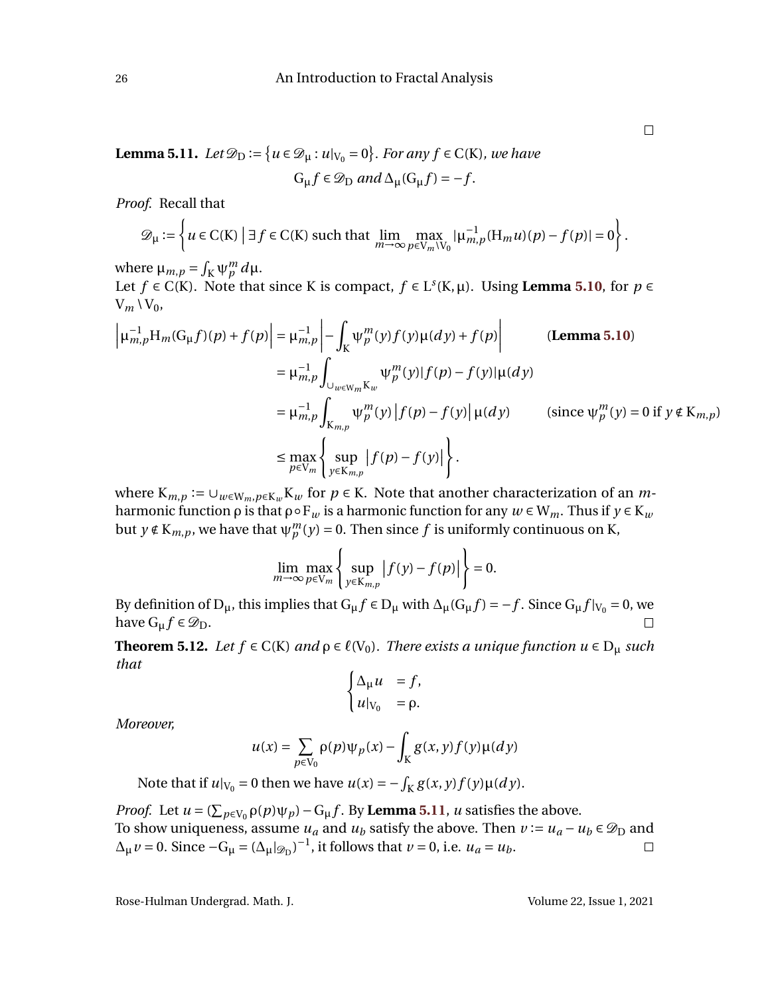<span id="page-27-0"></span>**Lemma 5.11.** *Let*  $\mathcal{D}_D := \{u \in \mathcal{D}_{\mu} : u|_{V_0} = 0\}$ *. For any*  $f \in C(K)$ *, we have* 

$$
G_{\mu} f \in \mathcal{D}_D \text{ and } \Delta_{\mu} (G_{\mu} f) = -f.
$$

*Proof.* Recall that

$$
\mathcal{D}_{\mu} := \left\{ u \in C(K) \mid \exists f \in C(K) \text{ such that } \lim_{m \to \infty} \max_{p \in V_m \backslash V_0} |\mu_{m,p}^{-1}(H_m u)(p) - f(p)| = 0 \right\}.
$$

where  $\mu_{m,p} = \int_K \psi_p^m d\mu$ .

Let *f* ∈ C(K). Note that since K is compact,  $f$  ∈ L<sup>*s*</sup>(K, µ). Using **Lemma [5.10](#page-25-0)**, for *p* ∈  $V_m \setminus V_0$ ,

$$
\left|\mu_{m,p}^{-1}H_m(G_\mu f)(p) + f(p)\right| = \mu_{m,p}^{-1} \left| -\int_K \psi_p^m(y) f(y) \mu(dy) + f(p) \right| \qquad \text{(Lemma 5.10)}
$$
\n
$$
= \mu_{m,p}^{-1} \int_{\cup_{w \in W_m K_w}} \psi_p^m(y) |f(p) - f(y)| \mu(dy)
$$
\n
$$
= \mu_{m,p}^{-1} \int_{K_{m,p}} \psi_p^m(y) |f(p) - f(y)| \mu(dy) \qquad \text{(since } \psi_p^m(y) = 0 \text{ if } y \notin K_{m,p})
$$
\n
$$
\leq \max_{p \in V_m} \left\{ \sup_{y \in K_{m,p}} |f(p) - f(y)| \right\}.
$$

where  $K_{m,p} := \bigcup_{w \in W_m, p \in K_w} K_w$  for  $p \in K$ . Note that another characterization of an *m*harmonic function  $ρ$  is that  $ρ ∘ F<sub>w</sub>$  is a harmonic function for any  $w ∈ W<sub>m</sub>$ . Thus if  $y ∈ K<sub>w</sub>$ but *y* ∉ K<sub>*m*,*p*</sub>, we have that  $\psi_p^m(y) = 0$ . Then since *f* is uniformly continuous on K,

$$
\lim_{m\to\infty}\max_{p\in V_m}\left\{\sup_{y\in K_{m,p}}|f(y)-f(p)|\right\}=0.
$$

By definition of D<sub>µ</sub>, this implies that  $G_{\mu} f \in D_{\mu}$  with  $\Delta_{\mu} (G_{\mu} f) = -f$ . Since  $G_{\mu} f|_{V_0} = 0$ , we have  $G_{\text{u}} f \in \mathcal{D}_{\text{D}}$ .  $\Box$ 

**Theorem 5.12.** *Let*  $f \in C(K)$  *and*  $\rho \in \ell(V_0)$ *. There exists a unique function*  $u \in D_\mu$  *such that*

$$
\begin{cases} \Delta_{\mu} u = f, \\ u|_{V_0} = \rho. \end{cases}
$$

*Moreover,*

$$
u(x) = \sum_{p \in V_0} \rho(p)\psi_p(x) - \int_K g(x, y) f(y) \mu(dy)
$$

Note that if  $u|_{V_0} = 0$  then we have  $u(x) = -\int_K g(x, y) f(y) \mu(dy)$ .

*Proof.* Let  $u = (\sum_{p \in V_0} \rho(p) \psi_p) - G_{\mu} f$ . By **Lemma [5.11](#page-27-0)**, *u* satisfies the above. To show uniqueness, assume  $u_a$  and  $u_b$  satisfy the above. Then  $v := u_a - u_b \in \mathcal{D}_D$  and  $\Delta_{\mu} v = 0$ . Since  $-G_{\mu} = (\Delta_{\mu}|_{\mathcal{D}_{D}})^{-1}$ , it follows that  $v = 0$ , i.e.  $u_{a} = u_{b}$ .  $\Box$